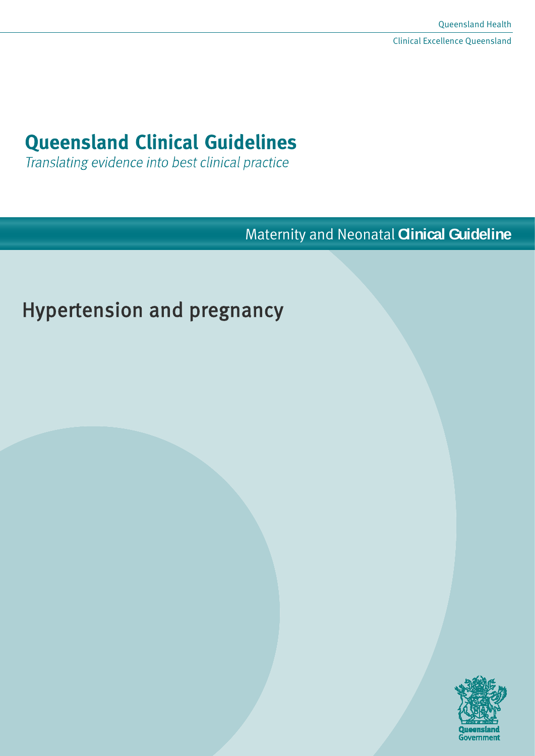# **Queensland Clinical Guidelines**

Translating evidence into best clinical practice

Maternity and Neonatal **Clinical Guideline**

# Hypertension and pregnancy

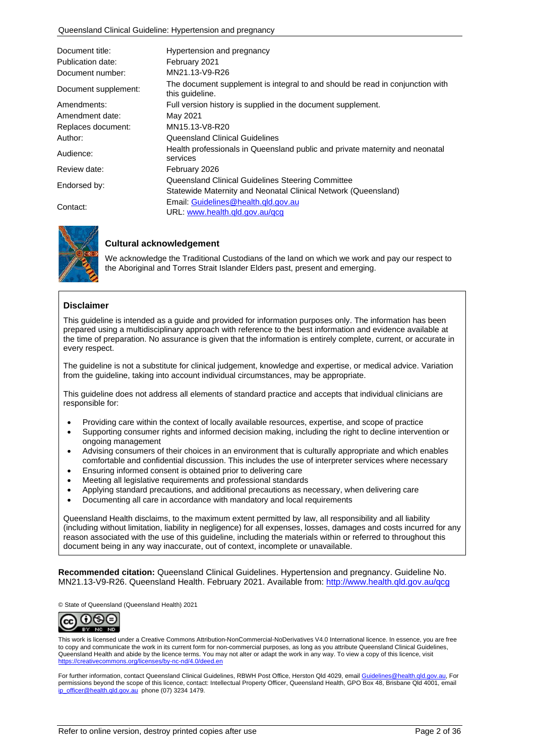| Document title:<br>Publication date: | Hypertension and pregnancy<br>February 2021                                                      |
|--------------------------------------|--------------------------------------------------------------------------------------------------|
| Document number:                     | MN21.13-V9-R26                                                                                   |
| Document supplement:                 | The document supplement is integral to and should be read in conjunction with<br>this quideline. |
| Amendments:                          | Full version history is supplied in the document supplement.                                     |
| Amendment date:                      | May 2021                                                                                         |
| Replaces document:                   | MN15.13-V8-R20                                                                                   |
| Author:                              | Queensland Clinical Guidelines                                                                   |
| Audience:                            | Health professionals in Queensland public and private maternity and neonatal<br>services         |
| Review date:                         | February 2026                                                                                    |
| Endorsed by:                         | Queensland Clinical Guidelines Steering Committee                                                |
|                                      | Statewide Maternity and Neonatal Clinical Network (Queensland)                                   |
| Contact:                             | Email: Guidelines@health.gld.gov.au                                                              |
|                                      | URL: www.health.qld.gov.au/qcg                                                                   |



#### **Cultural acknowledgement**

We acknowledge the Traditional Custodians of the land on which we work and pay our respect to the Aboriginal and Torres Strait Islander Elders past, present and emerging.

#### **Disclaimer**

This guideline is intended as a guide and provided for information purposes only. The information has been prepared using a multidisciplinary approach with reference to the best information and evidence available at the time of preparation. No assurance is given that the information is entirely complete, current, or accurate in every respect.

The guideline is not a substitute for clinical judgement, knowledge and expertise, or medical advice. Variation from the guideline, taking into account individual circumstances, may be appropriate.

This guideline does not address all elements of standard practice and accepts that individual clinicians are responsible for:

- Providing care within the context of locally available resources, expertise, and scope of practice
- Supporting consumer rights and informed decision making, including the right to decline intervention or ongoing management
- Advising consumers of their choices in an environment that is culturally appropriate and which enables comfortable and confidential discussion. This includes the use of interpreter services where necessary
- Ensuring informed consent is obtained prior to delivering care
- Meeting all legislative requirements and professional standards
- Applying standard precautions, and additional precautions as necessary, when delivering care
- Documenting all care in accordance with mandatory and local requirements

Queensland Health disclaims, to the maximum extent permitted by law, all responsibility and all liability (including without limitation, liability in negligence) for all expenses, losses, damages and costs incurred for any reason associated with the use of this guideline, including the materials within or referred to throughout this document being in any way inaccurate, out of context, incomplete or unavailable.

**Recommended citation:** Queensland Clinical Guidelines. Hypertension and pregnancy. Guideline No. MN21.13-V9-R26. Queensland Health. February 2021. Available from:<http://www.health.qld.gov.au/qcg>

© State of Queensland (Queensland Health) 2021



This work is licensed under a Creative Commons Attribution-NonCommercial-NoDerivatives V4.0 International licence. In essence, you are free to copy and communicate the work in its current form for non-commercial purposes, as long as you attribute Queensland Clinical Guidelines, Queensland Health and abide by the licence terms. You may not alter or adapt the work in any way. To view a copy of this licence, visit <https://creativecommons.org/licenses/by-nc-nd/4.0/deed.en>

For further information, contact Queensland Clinical Guidelines, RBWH Post Office, Herston Qld 4029, email Guidelines@health.gld.gov.au, For permissions beyond the scope of this licence, contact: Intellectual Property Officer, Queensland Health, GPO Box 48, Brisbane Qld 4001, email [ip\\_officer@health.qld.gov.au](mailto:ip_officer@health.qld.gov.au) phone (07) 3234 1479.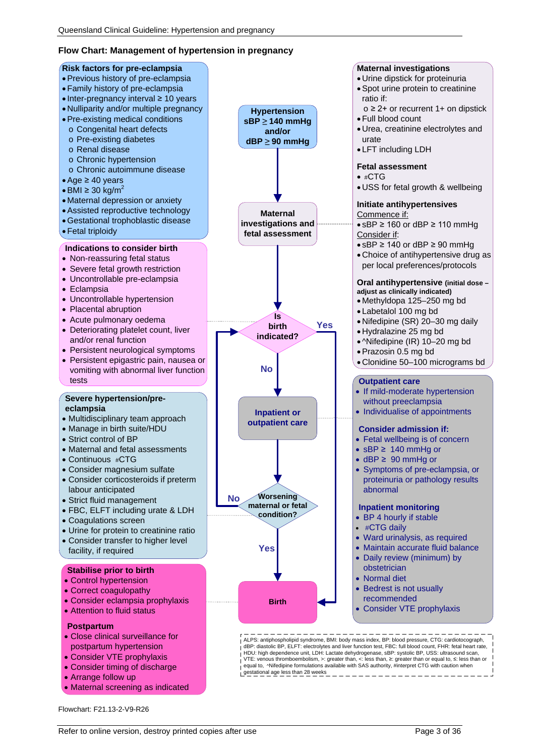#### **Flow Chart: Management of hypertension in pregnancy**



Flowchart: F21.13-2-V9-R26

• Maternal screening as indicated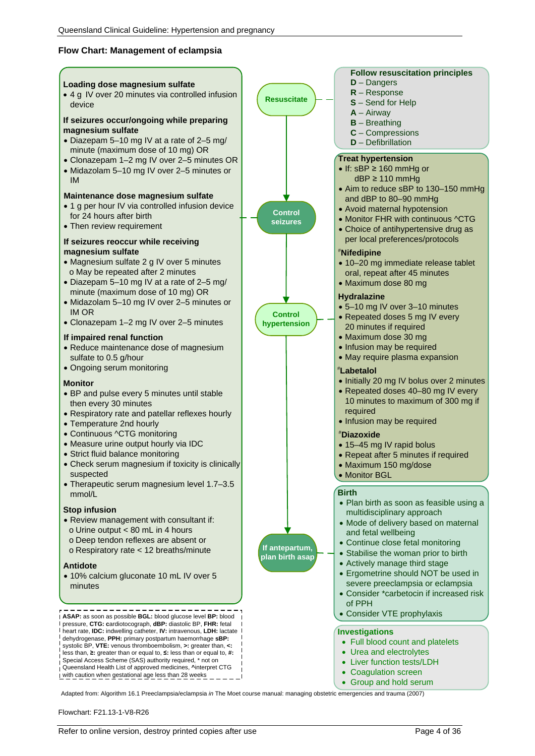#### **Flow Chart: Management of eclampsia**



Adapted from: Algorithm 16.1 Preeclampsia/eclampsia *in* The Moet course manual: managing obstetric emergencies and trauma (2007)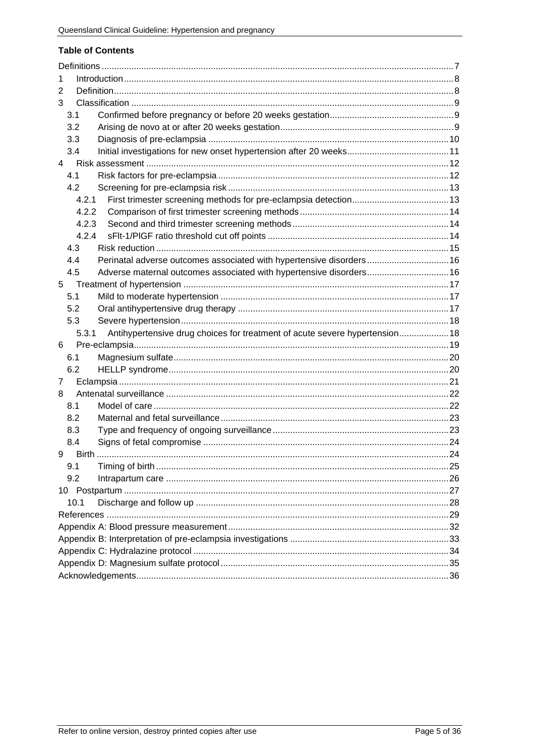#### **Table of Contents**

| 1                                                                                    |  |  |
|--------------------------------------------------------------------------------------|--|--|
| 2                                                                                    |  |  |
| 3                                                                                    |  |  |
| 3.1                                                                                  |  |  |
| 3.2                                                                                  |  |  |
| 3.3                                                                                  |  |  |
| 3.4                                                                                  |  |  |
| 4                                                                                    |  |  |
| 4.1                                                                                  |  |  |
| 4.2                                                                                  |  |  |
| 4.2.1                                                                                |  |  |
| 4.2.2                                                                                |  |  |
| 4.2.3                                                                                |  |  |
| 4.2.4                                                                                |  |  |
| 4.3                                                                                  |  |  |
| Perinatal adverse outcomes associated with hypertensive disorders 16<br>4.4          |  |  |
| Adverse maternal outcomes associated with hypertensive disorders 16<br>4.5           |  |  |
| 5                                                                                    |  |  |
| 5.1                                                                                  |  |  |
| 5.2                                                                                  |  |  |
| 5.3                                                                                  |  |  |
| Antihypertensive drug choices for treatment of acute severe hypertension 18<br>5.3.1 |  |  |
| 6                                                                                    |  |  |
| 6.1                                                                                  |  |  |
| 6.2                                                                                  |  |  |
| 7                                                                                    |  |  |
| 8                                                                                    |  |  |
| 8.1                                                                                  |  |  |
| 8.2                                                                                  |  |  |
| 8.3                                                                                  |  |  |
| 8.4                                                                                  |  |  |
| 9                                                                                    |  |  |
| 9.1                                                                                  |  |  |
| 9.2                                                                                  |  |  |
|                                                                                      |  |  |
| 10.1                                                                                 |  |  |
|                                                                                      |  |  |
|                                                                                      |  |  |
|                                                                                      |  |  |
|                                                                                      |  |  |
|                                                                                      |  |  |
|                                                                                      |  |  |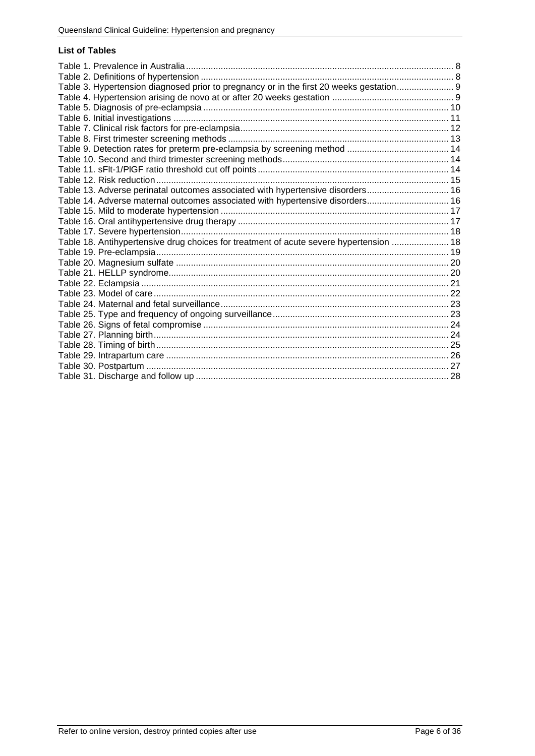#### **List of Tables**

| Table 3. Hypertension diagnosed prior to pregnancy or in the first 20 weeks gestation 9 |  |
|-----------------------------------------------------------------------------------------|--|
|                                                                                         |  |
|                                                                                         |  |
|                                                                                         |  |
|                                                                                         |  |
|                                                                                         |  |
|                                                                                         |  |
|                                                                                         |  |
|                                                                                         |  |
|                                                                                         |  |
| Table 13. Adverse perinatal outcomes associated with hypertensive disorders 16          |  |
| Table 14. Adverse maternal outcomes associated with hypertensive disorders 16           |  |
|                                                                                         |  |
|                                                                                         |  |
|                                                                                         |  |
| Table 18. Antihypertensive drug choices for treatment of acute severe hypertension  18  |  |
|                                                                                         |  |
|                                                                                         |  |
|                                                                                         |  |
|                                                                                         |  |
|                                                                                         |  |
|                                                                                         |  |
|                                                                                         |  |
|                                                                                         |  |
|                                                                                         |  |
|                                                                                         |  |
|                                                                                         |  |
|                                                                                         |  |
|                                                                                         |  |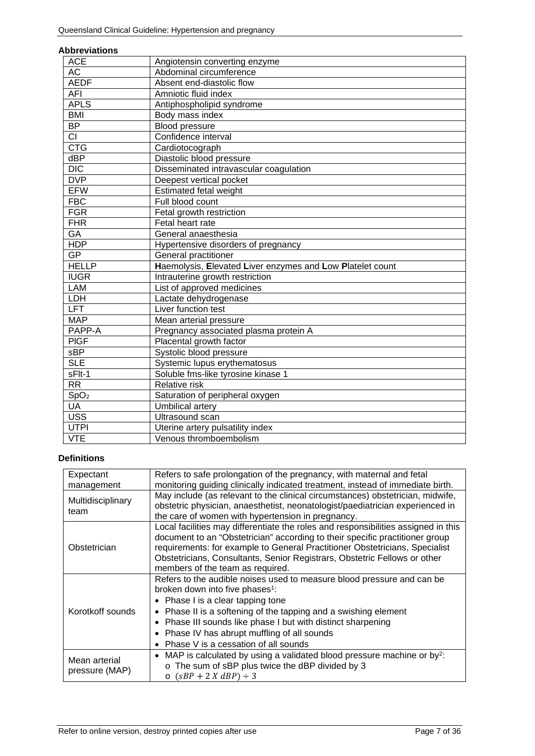#### **Abbreviations**

| <b>ACE</b>                | Angiotensin converting enzyme                             |
|---------------------------|-----------------------------------------------------------|
| <b>AC</b>                 | Abdominal circumference                                   |
| <b>AEDF</b>               | Absent end-diastolic flow                                 |
| AFI                       | Amniotic fluid index                                      |
| <b>APLS</b>               | Antiphospholipid syndrome                                 |
| <b>BMI</b>                | Body mass index                                           |
| <b>BP</b>                 | Blood pressure                                            |
| $\overline{\text{CI}}$    | Confidence interval                                       |
| $\overline{\text{CTG}}$   | Cardiotocograph                                           |
| dBP                       | Diastolic blood pressure                                  |
| $\overline{DIC}$          | Disseminated intravascular coagulation                    |
| <b>DVP</b>                | Deepest vertical pocket                                   |
| <b>EFW</b>                | Estimated fetal weight                                    |
| <b>FBC</b>                | Full blood count                                          |
| <b>FGR</b>                | Fetal growth restriction                                  |
| <b>FHR</b>                | Fetal heart rate                                          |
| GA                        | General anaesthesia                                       |
| <b>HDP</b>                | Hypertensive disorders of pregnancy                       |
| <b>GP</b>                 | General practitioner                                      |
| <b>HELLP</b>              | Haemolysis, Elevated Liver enzymes and Low Platelet count |
| <b>IUGR</b>               | Intrauterine growth restriction                           |
| LAM                       | List of approved medicines                                |
| LDH                       | Lactate dehydrogenase                                     |
| <b>LFT</b>                | Liver function test                                       |
| <b>MAP</b>                | Mean arterial pressure                                    |
| PAPP-A                    | Pregnancy associated plasma protein A                     |
| <b>PIGF</b>               | Placental growth factor                                   |
| sBP                       | Systolic blood pressure                                   |
| <b>SLE</b>                | Systemic lupus erythematosus                              |
| sFlt-1                    | Soluble fms-like tyrosine kinase 1                        |
| <b>RR</b>                 | <b>Relative risk</b>                                      |
| SpO <sub>2</sub>          | Saturation of peripheral oxygen                           |
| UA                        | Umbilical artery                                          |
| <b>USS</b>                | Ultrasound scan                                           |
|                           |                                                           |
| <b>UTPI</b><br><b>VTE</b> | Uterine artery pulsatility index                          |

#### <span id="page-6-0"></span>**Definitions**

| Expectant         | Refers to safe prolongation of the pregnancy, with maternal and fetal                                                                                              |  |
|-------------------|--------------------------------------------------------------------------------------------------------------------------------------------------------------------|--|
| management        | monitoring guiding clinically indicated treatment, instead of immediate birth.                                                                                     |  |
| Multidisciplinary | May include (as relevant to the clinical circumstances) obstetrician, midwife,                                                                                     |  |
| team              | obstetric physician, anaesthetist, neonatologist/paediatrician experienced in                                                                                      |  |
|                   | the care of women with hypertension in pregnancy.                                                                                                                  |  |
| Obstetrician      | Local facilities may differentiate the roles and responsibilities assigned in this<br>document to an "Obstetrician" according to their specific practitioner group |  |
|                   | requirements: for example to General Practitioner Obstetricians, Specialist                                                                                        |  |
|                   | Obstetricians, Consultants, Senior Registrars, Obstetric Fellows or other                                                                                          |  |
|                   | members of the team as required.                                                                                                                                   |  |
|                   | Refers to the audible noises used to measure blood pressure and can be                                                                                             |  |
|                   | broken down into five phases <sup>1</sup> :                                                                                                                        |  |
|                   | • Phase I is a clear tapping tone                                                                                                                                  |  |
| Korotkoff sounds  | • Phase II is a softening of the tapping and a swishing element                                                                                                    |  |
|                   | • Phase III sounds like phase I but with distinct sharpening                                                                                                       |  |
|                   | Phase IV has abrupt muffling of all sounds<br>$\bullet$                                                                                                            |  |
|                   | Phase V is a cessation of all sounds<br>$\bullet$                                                                                                                  |  |
| Mean arterial     | • MAP is calculated by using a validated blood pressure machine or by?:                                                                                            |  |
|                   | o The sum of sBP plus twice the dBP divided by 3                                                                                                                   |  |
| pressure (MAP)    | $\circ$ (sBP + 2 X dBP) ÷ 3                                                                                                                                        |  |
|                   |                                                                                                                                                                    |  |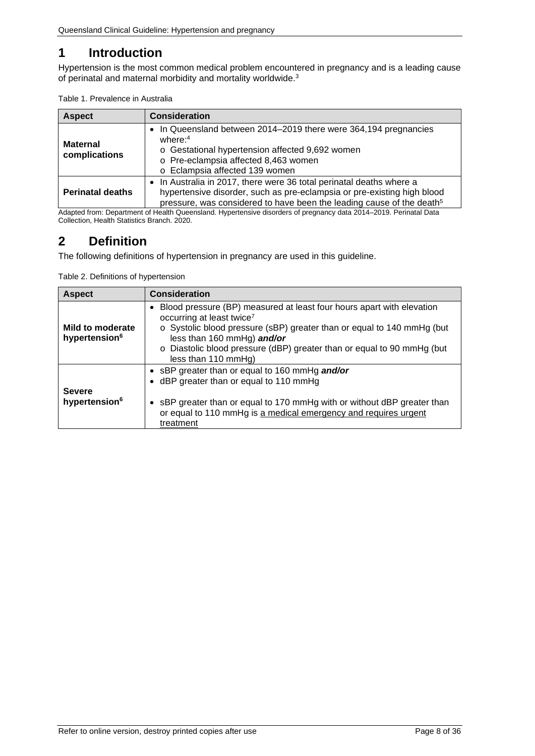# <span id="page-7-0"></span>**1 Introduction**

Hypertension is the most common medical problem encountered in pregnancy and is a leading cause of perinatal and maternal morbidity and mortality worldwide. 3

<span id="page-7-2"></span>

| Table 1. Prevalence in Australia |  |
|----------------------------------|--|
|----------------------------------|--|

| <b>Aspect</b>                    | <b>Consideration</b>                                                                                                                                                                                                                 |
|----------------------------------|--------------------------------------------------------------------------------------------------------------------------------------------------------------------------------------------------------------------------------------|
| <b>Maternal</b><br>complications | • In Queensland between 2014-2019 there were 364,194 pregnancies<br>where: $4$<br>o Gestational hypertension affected 9,692 women<br>o Pre-eclampsia affected 8,463 women<br>o Eclampsia affected 139 women                          |
| <b>Perinatal deaths</b>          | • In Australia in 2017, there were 36 total perinatal deaths where a<br>hypertensive disorder, such as pre-eclampsia or pre-existing high blood<br>pressure, was considered to have been the leading cause of the death <sup>5</sup> |

Adapted from: Department of Health Queensland. Hypertensive disorders of pregnancy data 2014–2019. Perinatal Data Collection, Health Statistics Branch. 2020.

# <span id="page-7-1"></span>**2 Definition**

The following definitions of hypertension in pregnancy are used in this guideline.

<span id="page-7-3"></span>Table 2. Definitions of hypertension

| <b>Aspect</b>                                 | <b>Consideration</b>                                                                                                                                                                                                                                                                                                      |
|-----------------------------------------------|---------------------------------------------------------------------------------------------------------------------------------------------------------------------------------------------------------------------------------------------------------------------------------------------------------------------------|
| Mild to moderate<br>hypertension <sup>6</sup> | • Blood pressure (BP) measured at least four hours apart with elevation<br>occurring at least twice <sup>7</sup><br>o Systolic blood pressure (sBP) greater than or equal to 140 mmHg (but<br>less than 160 mmHg) and/or<br>o Diastolic blood pressure (dBP) greater than or equal to 90 mmHg (but<br>less than 110 mmHg) |
| <b>Severe</b><br>hypertension <sup>6</sup>    | • sBP greater than or equal to 160 mmHg and/or<br>• dBP greater than or equal to 110 mmHg<br>• sBP greater than or equal to 170 mmHg with or without dBP greater than<br>or equal to 110 mmHg is a medical emergency and requires urgent<br>treatment                                                                     |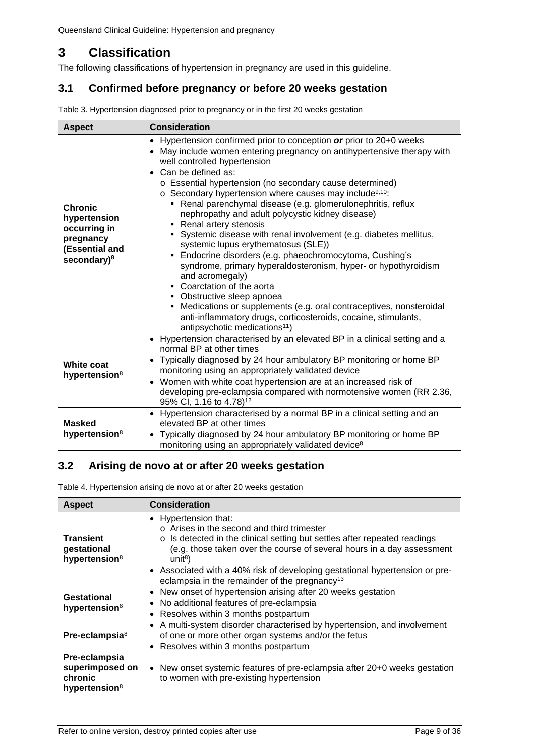# <span id="page-8-0"></span>**3 Classification**

The following classifications of hypertension in pregnancy are used in this guideline.

## <span id="page-8-1"></span>**3.1 Confirmed before pregnancy or before 20 weeks gestation**

| <b>Aspect</b>                                                                                            | <b>Consideration</b>                                                                                                                                                                                                                                                                                                                                                                                                                                                                                                                                                                                                                                                                                                                                                                                                                                                                                                                                                                                                                                |  |
|----------------------------------------------------------------------------------------------------------|-----------------------------------------------------------------------------------------------------------------------------------------------------------------------------------------------------------------------------------------------------------------------------------------------------------------------------------------------------------------------------------------------------------------------------------------------------------------------------------------------------------------------------------------------------------------------------------------------------------------------------------------------------------------------------------------------------------------------------------------------------------------------------------------------------------------------------------------------------------------------------------------------------------------------------------------------------------------------------------------------------------------------------------------------------|--|
| <b>Chronic</b><br>hypertension<br>occurring in<br>pregnancy<br>(Essential and<br>secondary) <sup>8</sup> | Hypertension confirmed prior to conception or prior to 20+0 weeks<br>$\bullet$<br>May include women entering pregnancy on antihypertensive therapy with<br>$\bullet$<br>well controlled hypertension<br>Can be defined as:<br>$\bullet$<br>o Essential hypertension (no secondary cause determined)<br>$\circ$ Secondary hypertension where causes may include <sup>9,10</sup> :<br>Renal parenchymal disease (e.g. glomerulonephritis, reflux<br>٠<br>nephropathy and adult polycystic kidney disease)<br>• Renal artery stenosis<br>• Systemic disease with renal involvement (e.g. diabetes mellitus,<br>systemic lupus erythematosus (SLE))<br>• Endocrine disorders (e.g. phaeochromocytoma, Cushing's<br>syndrome, primary hyperaldosteronism, hyper- or hypothyroidism<br>and acromegaly)<br>• Coarctation of the aorta<br>• Obstructive sleep apnoea<br>• Medications or supplements (e.g. oral contraceptives, nonsteroidal<br>anti-inflammatory drugs, corticosteroids, cocaine, stimulants,<br>antipsychotic medications <sup>11</sup> ) |  |
| White coat<br>hypertension <sup>8</sup>                                                                  | • Hypertension characterised by an elevated BP in a clinical setting and a<br>normal BP at other times<br>Typically diagnosed by 24 hour ambulatory BP monitoring or home BP<br>$\bullet$<br>monitoring using an appropriately validated device<br>Women with white coat hypertension are at an increased risk of<br>$\bullet$<br>developing pre-eclampsia compared with normotensive women (RR 2.36,<br>95% CI, 1.16 to 4.78) <sup>12</sup>                                                                                                                                                                                                                                                                                                                                                                                                                                                                                                                                                                                                        |  |
| <b>Masked</b><br>hypertension <sup>8</sup>                                                               | • Hypertension characterised by a normal BP in a clinical setting and an<br>elevated BP at other times<br>Typically diagnosed by 24 hour ambulatory BP monitoring or home BP<br>$\bullet$<br>monitoring using an appropriately validated device <sup>8</sup>                                                                                                                                                                                                                                                                                                                                                                                                                                                                                                                                                                                                                                                                                                                                                                                        |  |

<span id="page-8-3"></span>Table 3. Hypertension diagnosed prior to pregnancy or in the first 20 weeks gestation

#### <span id="page-8-2"></span>**3.2 Arising de novo at or after 20 weeks gestation**

<span id="page-8-4"></span>Table 4. Hypertension arising de novo at or after 20 weeks gestation

| <b>Aspect</b>                                                            | <b>Consideration</b>                                                                                                                                                                                                                                                                                                                                                                               |
|--------------------------------------------------------------------------|----------------------------------------------------------------------------------------------------------------------------------------------------------------------------------------------------------------------------------------------------------------------------------------------------------------------------------------------------------------------------------------------------|
| <b>Transient</b><br>gestational<br>hypertension <sup>8</sup>             | • Hypertension that:<br>$\circ$ Arises in the second and third trimester<br>o Is detected in the clinical setting but settles after repeated readings<br>(e.g. those taken over the course of several hours in a day assessment<br>unit <sup>8</sup> )<br>• Associated with a 40% risk of developing gestational hypertension or pre-<br>eclampsia in the remainder of the pregnancy <sup>13</sup> |
| Gestational<br>hypertension <sup>8</sup>                                 | New onset of hypertension arising after 20 weeks gestation<br>$\bullet$<br>No additional features of pre-eclampsia<br>٠<br>Resolves within 3 months postpartum<br>$\bullet$                                                                                                                                                                                                                        |
| Pre-eclampsia <sup>8</sup>                                               | A multi-system disorder characterised by hypertension, and involvement<br>٠<br>of one or more other organ systems and/or the fetus<br>Resolves within 3 months postpartum<br>$\bullet$                                                                                                                                                                                                             |
| Pre-eclampsia<br>superimposed on<br>chronic<br>hypertension <sup>8</sup> | • New onset systemic features of pre-eclampsia after 20+0 weeks gestation<br>to women with pre-existing hypertension                                                                                                                                                                                                                                                                               |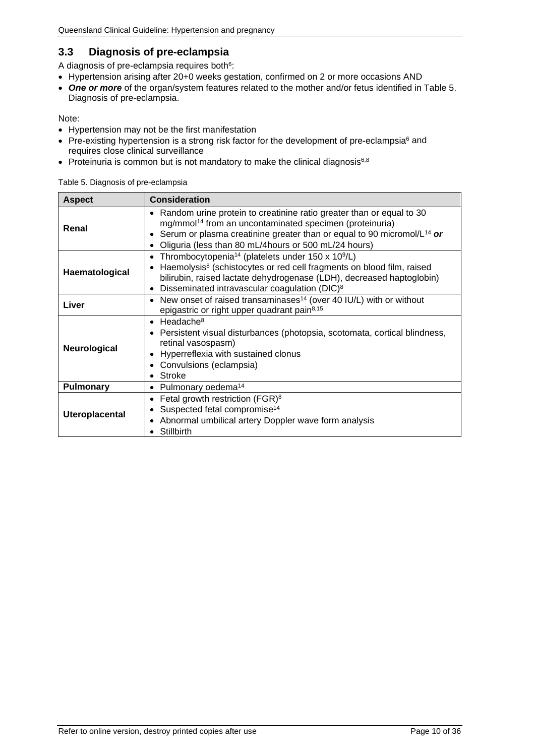## <span id="page-9-0"></span>**3.3 Diagnosis of pre-eclampsia**

A diagnosis of pre-eclampsia requires both<sup>6</sup>:

- Hypertension arising after 20+0 weeks gestation, confirmed on 2 or more occasions AND
- *One or more* of the organ/system features related to the mother and/or fetus identified in [Table 5.](#page-9-1) [Diagnosis of pre-eclampsia.](#page-9-1)

Note:

- Hypertension may not be the first manifestation
- Pre-existing hypertension is a strong risk factor for the development of pre-eclampsia $6$  and requires close clinical surveillance
- <span id="page-9-1"></span>• Proteinuria is common but is not mandatory to make the clinical diagnosis $6,8$

Table 5. Diagnosis of pre-eclampsia

| <b>Aspect</b>         | <b>Consideration</b>                                                                                                                                                                                                                                                                                                                        |  |
|-----------------------|---------------------------------------------------------------------------------------------------------------------------------------------------------------------------------------------------------------------------------------------------------------------------------------------------------------------------------------------|--|
| Renal                 | Random urine protein to creatinine ratio greater than or equal to 30<br>٠<br>mg/mmol <sup>14</sup> from an uncontaminated specimen (proteinuria)<br>Serum or plasma creatinine greater than or equal to 90 micromol/ $L^{14}$ or<br>$\bullet$<br>Oliguria (less than 80 mL/4hours or 500 mL/24 hours)<br>$\bullet$                          |  |
| Haematological        | Thrombocytopenia <sup>14</sup> (platelets under 150 x 10 <sup>9</sup> /L)<br>$\bullet$<br>Haemolysis <sup>8</sup> (schistocytes or red cell fragments on blood film, raised<br>$\bullet$<br>bilirubin, raised lactate dehydrogenase (LDH), decreased haptoglobin)<br>Disseminated intravascular coagulation (DIC) <sup>8</sup><br>$\bullet$ |  |
| Liver                 | New onset of raised transaminases <sup>14</sup> (over 40 IU/L) with or without<br>$\bullet$<br>epigastric or right upper quadrant pain <sup>8,15</sup>                                                                                                                                                                                      |  |
| Neurological          | Headache <sup>8</sup><br>$\bullet$<br>Persistent visual disturbances (photopsia, scotomata, cortical blindness,<br>$\bullet$<br>retinal vasospasm)<br>Hyperreflexia with sustained clonus<br>$\bullet$<br>Convulsions (eclampsia)<br>Stroke                                                                                                 |  |
| <b>Pulmonary</b>      | Pulmonary oedema <sup>14</sup><br>$\bullet$                                                                                                                                                                                                                                                                                                 |  |
| <b>Uteroplacental</b> | Fetal growth restriction (FGR) <sup>8</sup><br>$\bullet$<br>Suspected fetal compromise <sup>14</sup><br>$\bullet$<br>Abnormal umbilical artery Doppler wave form analysis<br>٠<br>Stillbirth                                                                                                                                                |  |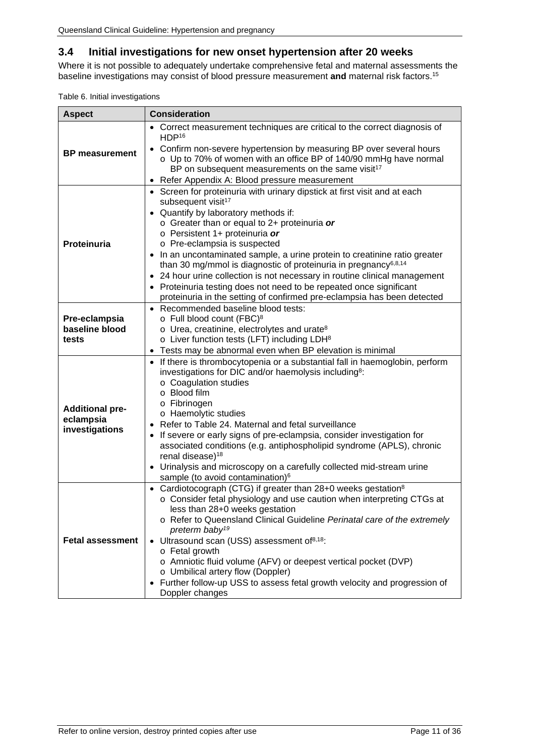## <span id="page-10-0"></span>**3.4 Initial investigations for new onset hypertension after 20 weeks**

Where it is not possible to adequately undertake comprehensive fetal and maternal assessments the baseline investigations may consist of blood pressure measurement **and** maternal risk factors.15

<span id="page-10-1"></span>

|  | Table 6. Initial investigations |
|--|---------------------------------|
|--|---------------------------------|

| <b>Aspect</b>                                         | <b>Consideration</b>                                                                                                                                                                                                                                                                                                                                                                                                                                                                                                                                                                                                                                    |
|-------------------------------------------------------|---------------------------------------------------------------------------------------------------------------------------------------------------------------------------------------------------------------------------------------------------------------------------------------------------------------------------------------------------------------------------------------------------------------------------------------------------------------------------------------------------------------------------------------------------------------------------------------------------------------------------------------------------------|
| <b>BP</b> measurement                                 | Correct measurement techniques are critical to the correct diagnosis of<br>HDP <sup>16</sup>                                                                                                                                                                                                                                                                                                                                                                                                                                                                                                                                                            |
|                                                       | Confirm non-severe hypertension by measuring BP over several hours<br>o Up to 70% of women with an office BP of 140/90 mmHg have normal<br>BP on subsequent measurements on the same visit <sup>17</sup>                                                                                                                                                                                                                                                                                                                                                                                                                                                |
|                                                       | Refer Appendix A: Blood pressure measurement                                                                                                                                                                                                                                                                                                                                                                                                                                                                                                                                                                                                            |
| Proteinuria                                           | • Screen for proteinuria with urinary dipstick at first visit and at each<br>subsequent visit <sup>17</sup><br>Quantify by laboratory methods if:<br>$\circ$ Greater than or equal to 2+ proteinuria or<br>o Persistent 1+ proteinuria or<br>o Pre-eclampsia is suspected<br>In an uncontaminated sample, a urine protein to creatinine ratio greater<br>than 30 mg/mmol is diagnostic of proteinuria in pregnancy $6,8,14$<br>24 hour urine collection is not necessary in routine clinical management<br>Proteinuria testing does not need to be repeated once significant<br>proteinuria in the setting of confirmed pre-eclampsia has been detected |
| Pre-eclampsia<br>baseline blood<br>tests              | • Recommended baseline blood tests:<br>o Full blood count (FBC) <sup>8</sup><br>$\circ$ Urea, creatinine, electrolytes and urate <sup>8</sup><br>$\circ$ Liver function tests (LFT) including LDH $8$<br>Tests may be abnormal even when BP elevation is minimal<br>$\bullet$                                                                                                                                                                                                                                                                                                                                                                           |
| <b>Additional pre-</b><br>eclampsia<br>investigations | • If there is thrombocytopenia or a substantial fall in haemoglobin, perform<br>investigations for DIC and/or haemolysis including <sup>8</sup> :<br>o Coagulation studies<br>o Blood film<br>o Fibrinogen<br>o Haemolytic studies<br>Refer to Table 24. Maternal and fetal surveillance<br>If severe or early signs of pre-eclampsia, consider investigation for<br>associated conditions (e.g. antiphospholipid syndrome (APLS), chronic<br>renal disease) <sup>18</sup><br>Urinalysis and microscopy on a carefully collected mid-stream urine<br>sample (to avoid contamination) <sup>6</sup>                                                       |
| <b>Fetal assessment</b>                               | Cardiotocograph (CTG) if greater than 28+0 weeks gestation <sup>8</sup><br>o Consider fetal physiology and use caution when interpreting CTGs at<br>less than 28+0 weeks gestation<br>o Refer to Queensland Clinical Guideline Perinatal care of the extremely<br>preterm baby <sup>19</sup><br>Ultrasound scan (USS) assessment of <sup>8,18</sup> :<br>o Fetal growth<br>o Amniotic fluid volume (AFV) or deepest vertical pocket (DVP)<br>o Umbilical artery flow (Doppler)<br>Further follow-up USS to assess fetal growth velocity and progression of<br>Doppler changes                                                                           |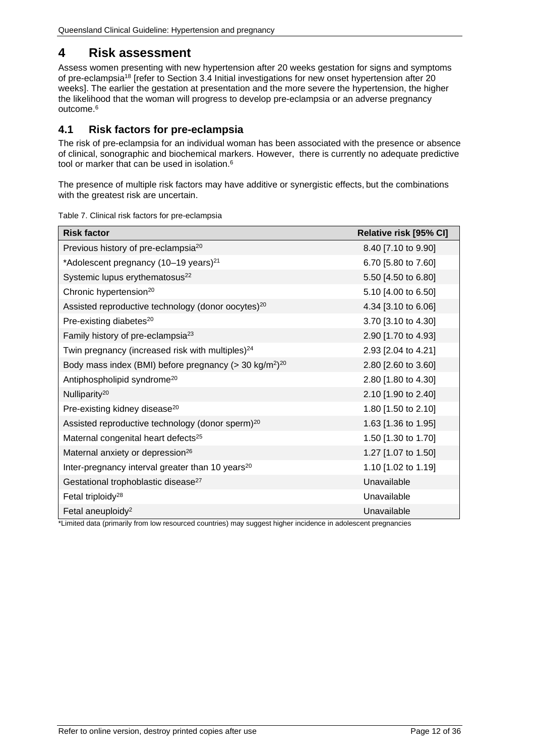# <span id="page-11-0"></span>**4 Risk assessment**

Assess women presenting with new hypertension after 20 weeks gestation for signs and symptoms of pre-eclampsia18 [refer to Section [3.4](#page-10-0) [Initial investigations for new onset hypertension after 20](#page-10-0)  [weeks\]](#page-10-0). The earlier the gestation at presentation and the more severe the hypertension, the higher the likelihood that the woman will progress to develop pre-eclampsia or an adverse pregnancy outcome.6

#### <span id="page-11-1"></span>**4.1 Risk factors for pre-eclampsia**

The risk of pre-eclampsia for an individual woman has been associated with the presence or absence of clinical, sonographic and biochemical markers. However, there is currently no adequate predictive tool or marker that can be used in isolation. 6

The presence of multiple risk factors may have additive or synergistic effects, but the combinations with the greatest risk are uncertain.

| <b>Risk factor</b>                                                                | Relative risk [95% CI] |
|-----------------------------------------------------------------------------------|------------------------|
| Previous history of pre-eclampsia <sup>20</sup>                                   | 8.40 [7.10 to 9.90]    |
| *Adolescent pregnancy (10-19 years) <sup>21</sup>                                 | 6.70 [5.80 to 7.60]    |
| Systemic lupus erythematosus <sup>22</sup>                                        | 5.50 [4.50 to 6.80]    |
| Chronic hypertension <sup>20</sup>                                                | 5.10 [4.00 to 6.50]    |
| Assisted reproductive technology (donor oocytes) <sup>20</sup>                    | 4.34 [3.10 to 6.06]    |
| Pre-existing diabetes <sup>20</sup>                                               | 3.70 [3.10 to 4.30]    |
| Family history of pre-eclampsia <sup>23</sup>                                     | 2.90 [1.70 to 4.93]    |
| Twin pregnancy (increased risk with multiples) <sup>24</sup>                      | 2.93 [2.04 to 4.21]    |
| Body mass index (BMI) before pregnancy ( $>$ 30 kg/m <sup>2</sup> ) <sup>20</sup> | 2.80 [2.60 to 3.60]    |
| Antiphospholipid syndrome <sup>20</sup>                                           | 2.80 [1.80 to 4.30]    |
| Nulliparity <sup>20</sup>                                                         | 2.10 [1.90 to 2.40]    |
| Pre-existing kidney disease <sup>20</sup>                                         | 1.80 [1.50 to 2.10]    |
| Assisted reproductive technology (donor sperm) <sup>20</sup>                      | 1.63 [1.36 to 1.95]    |
| Maternal congenital heart defects <sup>25</sup>                                   | 1.50 [1.30 to 1.70]    |
| Maternal anxiety or depression <sup>26</sup>                                      | 1.27 [1.07 to 1.50]    |
| Inter-pregnancy interval greater than 10 years <sup>20</sup>                      | 1.10 [1.02 to 1.19]    |
| Gestational trophoblastic disease <sup>27</sup>                                   | Unavailable            |
| Fetal triploidy <sup>28</sup>                                                     | Unavailable            |
| Fetal aneuploidy <sup>2</sup>                                                     | Unavailable            |

<span id="page-11-2"></span>Table 7. Clinical risk factors for pre-eclampsia

\*Limited data (primarily from low resourced countries) may suggest higher incidence in adolescent pregnancies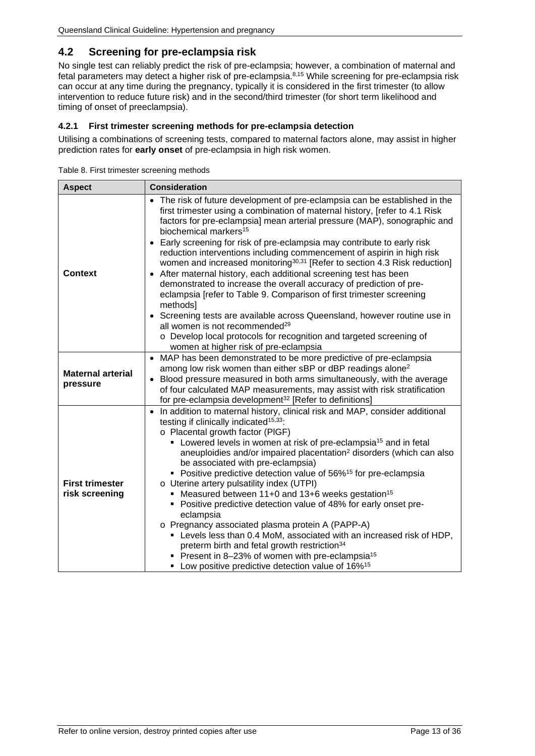## <span id="page-12-0"></span>**4.2 Screening for pre-eclampsia risk**

No single test can reliably predict the risk of pre-eclampsia; however, a combination of maternal and fetal parameters may detect a higher risk of pre-eclampsia. 8,15 While screening for pre-eclampsia risk can occur at any time during the pregnancy, typically it is considered in the first trimester (to allow intervention to reduce future risk) and in the second/third trimester (for short term likelihood and timing of onset of preeclampsia).

#### <span id="page-12-1"></span>**4.2.1 First trimester screening methods for pre-eclampsia detection**

Utilising a combinations of screening tests, compared to maternal factors alone, may assist in higher prediction rates for **early onset** of pre-eclampsia in high risk women.

<span id="page-12-2"></span>

| <b>Aspect</b>                            | <b>Consideration</b>                                                                                                                                                                                                                                                                                                                                                                                                                                                                                                                                                                                                                                                                                                                                                                                                                                                                                                                                                                                                 |
|------------------------------------------|----------------------------------------------------------------------------------------------------------------------------------------------------------------------------------------------------------------------------------------------------------------------------------------------------------------------------------------------------------------------------------------------------------------------------------------------------------------------------------------------------------------------------------------------------------------------------------------------------------------------------------------------------------------------------------------------------------------------------------------------------------------------------------------------------------------------------------------------------------------------------------------------------------------------------------------------------------------------------------------------------------------------|
| <b>Context</b>                           | • The risk of future development of pre-eclampsia can be established in the<br>first trimester using a combination of maternal history, [refer to 4.1 Risk]<br>factors for pre-eclampsia] mean arterial pressure (MAP), sonographic and<br>biochemical markers <sup>15</sup><br>Early screening for risk of pre-eclampsia may contribute to early risk<br>$\bullet$<br>reduction interventions including commencement of aspirin in high risk<br>women and increased monitoring <sup>30,31</sup> [Refer to section 4.3 Risk reduction]<br>After maternal history, each additional screening test has been<br>٠<br>demonstrated to increase the overall accuracy of prediction of pre-<br>eclampsia [refer to Table 9. Comparison of first trimester screening<br>methods]<br>• Screening tests are available across Queensland, however routine use in<br>all women is not recommended <sup>29</sup><br>o Develop local protocols for recognition and targeted screening of<br>women at higher risk of pre-eclampsia |
| <b>Maternal arterial</b><br>pressure     | • MAP has been demonstrated to be more predictive of pre-eclampsia<br>among low risk women than either sBP or dBP readings alone <sup>2</sup><br>• Blood pressure measured in both arms simultaneously, with the average<br>of four calculated MAP measurements, may assist with risk stratification<br>for pre-eclampsia development <sup>32</sup> [Refer to definitions]                                                                                                                                                                                                                                                                                                                                                                                                                                                                                                                                                                                                                                           |
| <b>First trimester</b><br>risk screening | In addition to maternal history, clinical risk and MAP, consider additional<br>$\bullet$<br>testing if clinically indicated <sup>15,33</sup> :<br>o Placental growth factor (PIGF)<br>• Lowered levels in women at risk of pre-eclampsia <sup>15</sup> and in fetal<br>aneuploidies and/or impaired placentation <sup>2</sup> disorders (which can also<br>be associated with pre-eclampsia)<br>• Positive predictive detection value of 56% <sup>15</sup> for pre-eclampsia<br>o Uterine artery pulsatility index (UTPI)<br>• Measured between 11+0 and 13+6 weeks gestation <sup>15</sup><br>• Positive predictive detection value of 48% for early onset pre-<br>eclampsia<br>o Pregnancy associated plasma protein A (PAPP-A)<br>• Levels less than 0.4 MoM, associated with an increased risk of HDP,<br>preterm birth and fetal growth restriction <sup>34</sup><br>Present in 8-23% of women with pre-eclampsia <sup>15</sup><br>• Low positive predictive detection value of 16% <sup>15</sup>               |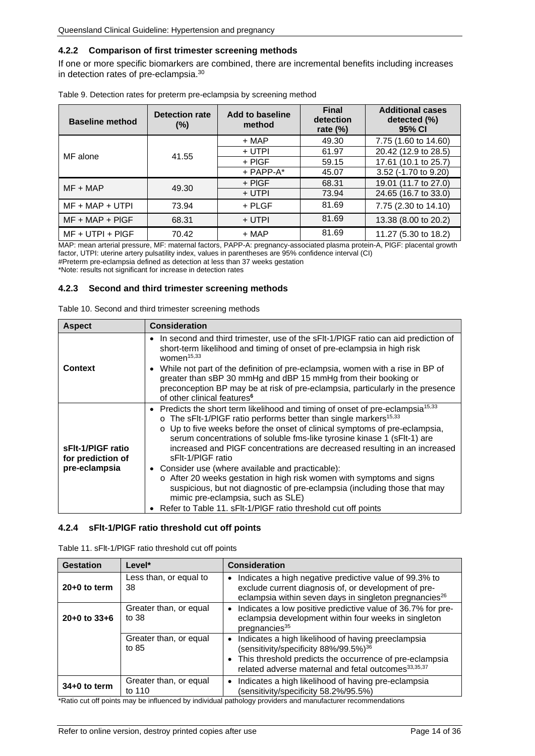#### <span id="page-13-0"></span>**4.2.2 Comparison of first trimester screening methods**

If one or more specific biomarkers are combined, there are incremental benefits including increases in detection rates of pre-eclampsia.30

| <b>Baseline method</b> | <b>Detection rate</b><br>$(\%)$ | Add to baseline<br>method | <b>Final</b><br>detection<br>rate $(\%)$ | <b>Additional cases</b><br>detected (%)<br>95% CI |
|------------------------|---------------------------------|---------------------------|------------------------------------------|---------------------------------------------------|
|                        |                                 | $+$ MAP                   | 49.30                                    | 7.75 (1.60 to 14.60)                              |
| MF alone               | 41.55                           | + UTPI                    | 61.97                                    | 20.42 (12.9 to 28.5)                              |
|                        |                                 | $+$ PIGF                  | 59.15                                    | 17.61 (10.1 to 25.7)                              |
|                        |                                 | $+$ PAPP-A $*$            | 45.07                                    | 3.52 (-1.70 to 9.20)                              |
| $MF + MAP$             | 49.30                           | $+$ PIGF                  | 68.31                                    | 19.01 (11.7 to 27.0)                              |
|                        |                                 | + UTPI                    | 73.94                                    | 24.65 (16.7 to 33.0)                              |
| $MF + MAP + UTPI$      | 73.94                           | $+$ PLGF                  | 81.69                                    | 7.75 (2.30 to 14.10)                              |
| $MF + MAP + PIGF$      | 68.31                           | + UTPI                    | 81.69                                    | 13.38 (8.00 to 20.2)                              |
| $MF + UTPI + PIGF$     | 70.42                           | $+$ MAP                   | 81.69                                    | 11.27 (5.30 to 18.2)                              |

<span id="page-13-3"></span>

|  |  | Table 9. Detection rates for preterm pre-eclampsia by screening method |  |  |
|--|--|------------------------------------------------------------------------|--|--|
|  |  |                                                                        |  |  |

MAP: mean arterial pressure, MF: maternal factors, PAPP-A: pregnancy-associated plasma protein-A, PlGF: placental growth factor, UTPI: uterine artery pulsatility index, values in parentheses are 95% confidence interval (CI)

#Preterm pre-eclampsia defined as detection at less than 37 weeks gestation

<span id="page-13-1"></span>\*Note: results not significant for increase in detection rates

#### **4.2.3 Second and third trimester screening methods**

<span id="page-13-4"></span>

|  | Table 10. Second and third trimester screening methods |  |  |  |
|--|--------------------------------------------------------|--|--|--|
|--|--------------------------------------------------------|--|--|--|

| <b>Aspect</b>                                           | <b>Consideration</b>                                                                                                                                                                                                                                                                                                                                                                                                                                                                                                                                                                                                                                                                                                                                                |
|---------------------------------------------------------|---------------------------------------------------------------------------------------------------------------------------------------------------------------------------------------------------------------------------------------------------------------------------------------------------------------------------------------------------------------------------------------------------------------------------------------------------------------------------------------------------------------------------------------------------------------------------------------------------------------------------------------------------------------------------------------------------------------------------------------------------------------------|
| Context                                                 | • In second and third trimester, use of the sFIt-1/PIGF ratio can aid prediction of<br>short-term likelihood and timing of onset of pre-eclampsia in high risk<br>women <sup>15,33</sup><br>• While not part of the definition of pre-eclampsia, women with a rise in BP of<br>greater than sBP 30 mmHg and dBP 15 mmHg from their booking or<br>preconception BP may be at risk of pre-eclampsia, particularly in the presence<br>of other clinical features <sup>6</sup>                                                                                                                                                                                                                                                                                          |
| sFIt-1/PIGF ratio<br>for prediction of<br>pre-eclampsia | • Predicts the short term likelihood and timing of onset of pre-eclampsia <sup>15,33</sup><br>o The sFlt-1/PIGF ratio performs better than single markers <sup>15,33</sup><br>o Up to five weeks before the onset of clinical symptoms of pre-eclampsia,<br>serum concentrations of soluble fms-like tyrosine kinase 1 (sFlt-1) are<br>increased and PIGF concentrations are decreased resulting in an increased<br>sFIt-1/PIGF ratio<br>• Consider use (where available and practicable):<br>o After 20 weeks gestation in high risk women with symptoms and signs<br>suspicious, but not diagnostic of pre-eclampsia (including those that may<br>mimic pre-eclampsia, such as SLE)<br>Refer to Table 11. sFIt-1/PIGF ratio threshold cut off points<br>$\bullet$ |

#### <span id="page-13-2"></span>**4.2.4 sFlt-1/PlGF ratio threshold cut off points**

<span id="page-13-5"></span>

| Table 11. sFlt-1/PIGF ratio threshold cut off points |  |  |  |  |  |
|------------------------------------------------------|--|--|--|--|--|
|------------------------------------------------------|--|--|--|--|--|

| <b>Gestation</b> | Level*                           | <b>Consideration</b>                                                                                                                                                                                                                      |
|------------------|----------------------------------|-------------------------------------------------------------------------------------------------------------------------------------------------------------------------------------------------------------------------------------------|
| $20+0$ to term   | Less than, or equal to<br>38     | Indicates a high negative predictive value of 99.3% to<br>$\bullet$<br>exclude current diagnosis of, or development of pre-<br>eclampsia within seven days in singleton pregnancies <sup>26</sup>                                         |
| $20+0$ to $33+6$ | Greater than, or equal<br>to 38  | Indicates a low positive predictive value of 36.7% for pre-<br>eclampsia development within four weeks in singleton<br>pregnancies <sup>35</sup>                                                                                          |
|                  | Greater than, or equal<br>to 85  | • Indicates a high likelihood of having preeclampsia<br>(sensitivity/specificity 88%/99.5%) <sup>36</sup><br>• This threshold predicts the occurrence of pre-eclampsia<br>related adverse maternal and fetal outcomes <sup>33,35,37</sup> |
| $34+0$ to term   | Greater than, or equal<br>to 110 | • Indicates a high likelihood of having pre-eclampsia<br>(sensitivity/specificity 58.2%/95.5%)                                                                                                                                            |

\*Ratio cut off points may be influenced by individual pathology providers and manufacturer recommendations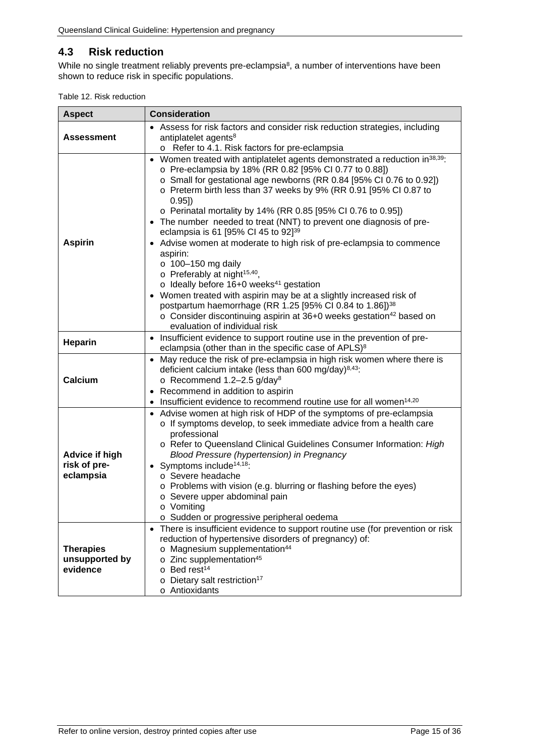## <span id="page-14-0"></span>**4.3 Risk reduction**

While no single treatment reliably prevents pre-eclampsia<sup>8</sup>, a number of interventions have been shown to reduce risk in specific populations.

<span id="page-14-1"></span>

|  |  | Table 12. Risk reduction |
|--|--|--------------------------|
|--|--|--------------------------|

| <b>Aspect</b>                                      | <b>Consideration</b>                                                                                                                                                                                                                                                                                                                                                                                                                                                                                                                                                                                                                                                                                                                                                                                                                                                                                                                                                                                     |
|----------------------------------------------------|----------------------------------------------------------------------------------------------------------------------------------------------------------------------------------------------------------------------------------------------------------------------------------------------------------------------------------------------------------------------------------------------------------------------------------------------------------------------------------------------------------------------------------------------------------------------------------------------------------------------------------------------------------------------------------------------------------------------------------------------------------------------------------------------------------------------------------------------------------------------------------------------------------------------------------------------------------------------------------------------------------|
| Assessment                                         | • Assess for risk factors and consider risk reduction strategies, including<br>antiplatelet agents <sup>8</sup><br>o Refer to 4.1. Risk factors for pre-eclampsia                                                                                                                                                                                                                                                                                                                                                                                                                                                                                                                                                                                                                                                                                                                                                                                                                                        |
| <b>Aspirin</b>                                     | • Women treated with antiplatelet agents demonstrated a reduction in <sup>38,39</sup> :<br>o Pre-eclampsia by 18% (RR 0.82 [95% CI 0.77 to 0.88])<br>o Small for gestational age newborns (RR 0.84 [95% CI 0.76 to 0.92])<br>o Preterm birth less than 37 weeks by 9% (RR 0.91 [95% CI 0.87 to<br>0.95]<br>o Perinatal mortality by 14% (RR 0.85 [95% CI 0.76 to 0.95])<br>• The number needed to treat (NNT) to prevent one diagnosis of pre-<br>eclampsia is 61 [95% CI 45 to 92] <sup>39</sup><br>Advise women at moderate to high risk of pre-eclampsia to commence<br>$\bullet$<br>aspirin:<br>$\circ$ 100-150 mg daily<br>o Preferably at night <sup>15,40</sup> ,<br>$\circ$ Ideally before 16+0 weeks <sup>41</sup> gestation<br>• Women treated with aspirin may be at a slightly increased risk of<br>postpartum haemorrhage (RR 1.25 [95% CI 0.84 to 1.86]) <sup>38</sup><br>o Consider discontinuing aspirin at 36+0 weeks gestation <sup>42</sup> based on<br>evaluation of individual risk |
| <b>Heparin</b>                                     | Insufficient evidence to support routine use in the prevention of pre-<br>eclampsia (other than in the specific case of APLS) <sup>8</sup>                                                                                                                                                                                                                                                                                                                                                                                                                                                                                                                                                                                                                                                                                                                                                                                                                                                               |
| Calcium                                            | • May reduce the risk of pre-eclampsia in high risk women where there is<br>deficient calcium intake (less than 600 mg/day) $8,43$ :<br>o Recommend 1.2-2.5 g/day <sup>8</sup><br>Recommend in addition to aspirin<br>Insufficient evidence to recommend routine use for all women <sup>14,20</sup>                                                                                                                                                                                                                                                                                                                                                                                                                                                                                                                                                                                                                                                                                                      |
| <b>Advice if high</b><br>risk of pre-<br>eclampsia | • Advise women at high risk of HDP of the symptoms of pre-eclampsia<br>o If symptoms develop, to seek immediate advice from a health care<br>professional<br>o Refer to Queensland Clinical Guidelines Consumer Information: High<br><b>Blood Pressure (hypertension) in Pregnancy</b><br>• Symptoms include <sup>14,18</sup> :<br>o Severe headache<br>o Problems with vision (e.g. blurring or flashing before the eyes)<br>o Severe upper abdominal pain<br>⊙ Vomitina<br>o Sudden or progressive peripheral oedema                                                                                                                                                                                                                                                                                                                                                                                                                                                                                   |
| <b>Therapies</b><br>unsupported by<br>evidence     | There is insufficient evidence to support routine use (for prevention or risk<br>reduction of hypertensive disorders of pregnancy) of:<br>o Magnesium supplementation <sup>44</sup><br>o Zinc supplementation <sup>45</sup><br>$\circ$ Bed rest <sup>14</sup><br>Dietary salt restriction <sup>17</sup><br>$\circ$<br>o Antioxidants                                                                                                                                                                                                                                                                                                                                                                                                                                                                                                                                                                                                                                                                     |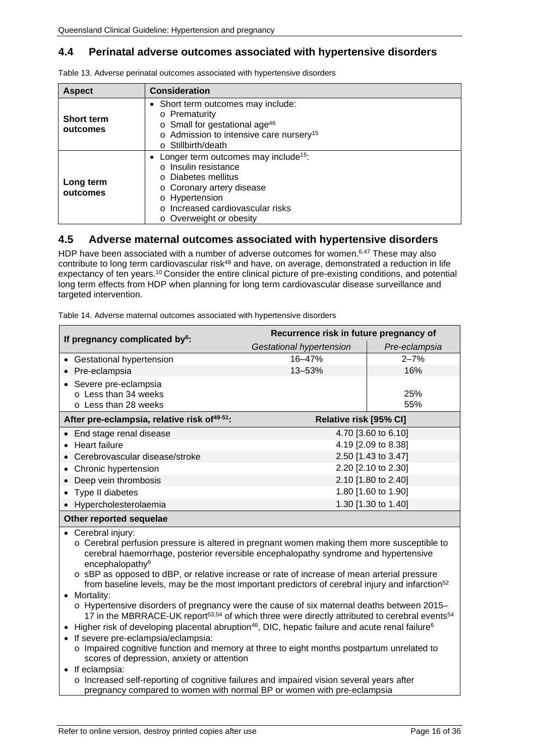## <span id="page-15-0"></span>**4.4 Perinatal adverse outcomes associated with hypertensive disorders**

| <b>Aspect</b>                 | <b>Consideration</b>                                                                                                                                                                                            |  |  |
|-------------------------------|-----------------------------------------------------------------------------------------------------------------------------------------------------------------------------------------------------------------|--|--|
| <b>Short term</b><br>outcomes | • Short term outcomes may include:<br>o Prematurity<br>$\circ$ Small for gestational age <sup>46</sup><br>o Admission to intensive care nursery <sup>15</sup><br>$\circ$ Stillbirth/death                       |  |  |
| Long term<br>outcomes         | • Longer term outcomes may include <sup>15</sup> :<br>o Insulin resistance<br>o Diabetes mellitus<br>o Coronary artery disease<br>o Hypertension<br>o Increased cardiovascular risks<br>o Overweight or obesity |  |  |

<span id="page-15-2"></span>Table 13. Adverse perinatal outcomes associated with hypertensive disorders

#### <span id="page-15-1"></span>**4.5 Adverse maternal outcomes associated with hypertensive disorders**

HDP have been associated with a number of adverse outcomes for women.<sup>6,47</sup> These may also contribute to long term cardiovascular risk<sup>48</sup> and have, on average, demonstrated a reduction in life expectancy of ten years.10 Consider the entire clinical picture of pre-existing conditions, and potential long term effects from HDP when planning for long term cardiovascular disease surveillance and targeted intervention.

<span id="page-15-3"></span>Table 14. Adverse maternal outcomes associated with hypertensive disorders

| If pregnancy complicated by <sup>6</sup> :                                                                                                                                                                                                                                                                                                                                                                                                                                                                                                                                                                                                                                                                                                                                                                                                                                                                                                                                                                                                       | Recurrence risk in future pregnancy of |                     |  |
|--------------------------------------------------------------------------------------------------------------------------------------------------------------------------------------------------------------------------------------------------------------------------------------------------------------------------------------------------------------------------------------------------------------------------------------------------------------------------------------------------------------------------------------------------------------------------------------------------------------------------------------------------------------------------------------------------------------------------------------------------------------------------------------------------------------------------------------------------------------------------------------------------------------------------------------------------------------------------------------------------------------------------------------------------|----------------------------------------|---------------------|--|
|                                                                                                                                                                                                                                                                                                                                                                                                                                                                                                                                                                                                                                                                                                                                                                                                                                                                                                                                                                                                                                                  | <b>Gestational hypertension</b>        | Pre-eclampsia       |  |
| • Gestational hypertension                                                                                                                                                                                                                                                                                                                                                                                                                                                                                                                                                                                                                                                                                                                                                                                                                                                                                                                                                                                                                       | 16-47%                                 | $2 - 7%$            |  |
| Pre-eclampsia                                                                                                                                                                                                                                                                                                                                                                                                                                                                                                                                                                                                                                                                                                                                                                                                                                                                                                                                                                                                                                    | 13-53%                                 | 16%                 |  |
| Severe pre-eclampsia                                                                                                                                                                                                                                                                                                                                                                                                                                                                                                                                                                                                                                                                                                                                                                                                                                                                                                                                                                                                                             |                                        |                     |  |
| o Less than 34 weeks<br>o Less than 28 weeks                                                                                                                                                                                                                                                                                                                                                                                                                                                                                                                                                                                                                                                                                                                                                                                                                                                                                                                                                                                                     |                                        | 25%<br>55%          |  |
|                                                                                                                                                                                                                                                                                                                                                                                                                                                                                                                                                                                                                                                                                                                                                                                                                                                                                                                                                                                                                                                  |                                        |                     |  |
| After pre-eclampsia, relative risk of <sup>49-51</sup> :                                                                                                                                                                                                                                                                                                                                                                                                                                                                                                                                                                                                                                                                                                                                                                                                                                                                                                                                                                                         | Relative risk [95% CI]                 |                     |  |
| • End stage renal disease                                                                                                                                                                                                                                                                                                                                                                                                                                                                                                                                                                                                                                                                                                                                                                                                                                                                                                                                                                                                                        |                                        | 4.70 [3.60 to 6.10] |  |
| <b>Heart failure</b><br>$\bullet$                                                                                                                                                                                                                                                                                                                                                                                                                                                                                                                                                                                                                                                                                                                                                                                                                                                                                                                                                                                                                |                                        | 4.19 [2.09 to 8.38] |  |
| Cerebrovascular disease/stroke                                                                                                                                                                                                                                                                                                                                                                                                                                                                                                                                                                                                                                                                                                                                                                                                                                                                                                                                                                                                                   |                                        | 2.50 [1.43 to 3.47] |  |
| Chronic hypertension<br>$\bullet$                                                                                                                                                                                                                                                                                                                                                                                                                                                                                                                                                                                                                                                                                                                                                                                                                                                                                                                                                                                                                |                                        | 2.20 [2.10 to 2.30] |  |
| 2.10 [1.80 to 2.40]<br>Deep vein thrombosis                                                                                                                                                                                                                                                                                                                                                                                                                                                                                                                                                                                                                                                                                                                                                                                                                                                                                                                                                                                                      |                                        |                     |  |
| 1.80 [1.60 to 1.90]<br>Type II diabetes                                                                                                                                                                                                                                                                                                                                                                                                                                                                                                                                                                                                                                                                                                                                                                                                                                                                                                                                                                                                          |                                        |                     |  |
| 1.30 [1.30 to 1.40]<br>Hypercholesterolaemia                                                                                                                                                                                                                                                                                                                                                                                                                                                                                                                                                                                                                                                                                                                                                                                                                                                                                                                                                                                                     |                                        |                     |  |
| Other reported sequelae                                                                                                                                                                                                                                                                                                                                                                                                                                                                                                                                                                                                                                                                                                                                                                                                                                                                                                                                                                                                                          |                                        |                     |  |
| • Cerebral injury:<br>$\circ$ Cerebral perfusion pressure is altered in pregnant women making them more susceptible to<br>cerebral haemorrhage, posterior reversible encephalopathy syndrome and hypertensive<br>encephalopathy <sup>6</sup><br>o sBP as opposed to dBP, or relative increase or rate of increase of mean arterial pressure<br>from baseline levels, may be the most important predictors of cerebral injury and infarction <sup>52</sup><br>Mortality:<br>$\bullet$<br>o Hypertensive disorders of pregnancy were the cause of six maternal deaths between 2015–<br>17 in the MBRRACE-UK report <sup>53,54</sup> of which three were directly attributed to cerebral events <sup>54</sup><br>Higher risk of developing placental abruption <sup>46</sup> , DIC, hepatic failure and acute renal failure <sup>6</sup><br>$\bullet$<br>If severe pre-eclampsia/eclampsia:<br>$\bullet$<br>o Impaired cognitive function and memory at three to eight months postpartum unrelated to<br>scores of depression, anxiety or attention |                                        |                     |  |
| If eclampsia:<br>$\bullet$<br>o Increased self-reporting of cognitive failures and impaired vision several years after<br>pregnancy compared to women with normal BP or women with pre-eclampsia                                                                                                                                                                                                                                                                                                                                                                                                                                                                                                                                                                                                                                                                                                                                                                                                                                                 |                                        |                     |  |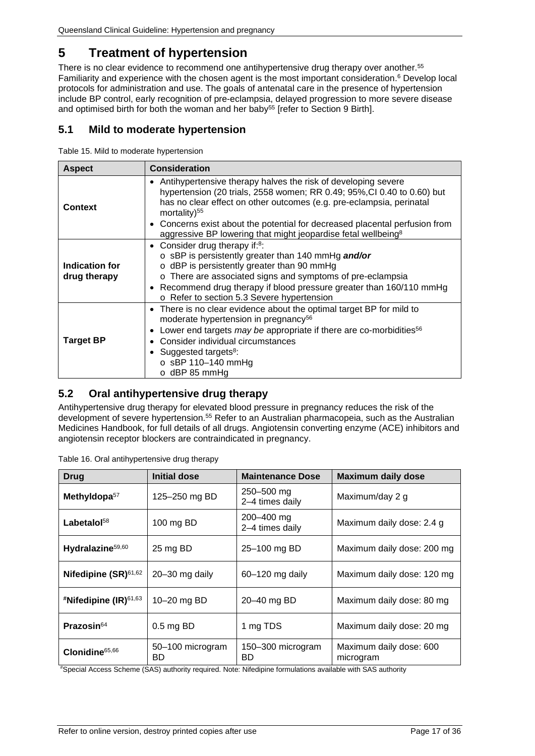# <span id="page-16-0"></span>**5 Treatment of hypertension**

There is no clear evidence to recommend one antihypertensive drug therapy over another.55 Familiarity and experience with the chosen agent is the most important consideration.<sup>6</sup> Develop local protocols for administration and use. The goals of antenatal care in the presence of hypertension include BP control, early recognition of pre-eclampsia, delayed progression to more severe disease and optimised birth for both the woman and her baby<sup>55</sup> [refer to Section [9](#page-23-1) [Birth\]](#page-23-1).

### <span id="page-16-1"></span>**5.1 Mild to moderate hypertension**

<span id="page-16-3"></span>Table 15. Mild to moderate hypertension

| <b>Aspect</b>                  | <b>Consideration</b>                                                                                                                                                                                                                                                                                                                                                                                 |  |  |
|--------------------------------|------------------------------------------------------------------------------------------------------------------------------------------------------------------------------------------------------------------------------------------------------------------------------------------------------------------------------------------------------------------------------------------------------|--|--|
| Context                        | • Antihypertensive therapy halves the risk of developing severe<br>hypertension (20 trials, 2558 women; RR 0.49; 95%, CI 0.40 to 0.60) but<br>has no clear effect on other outcomes (e.g. pre-eclampsia, perinatal<br>mortality) $55$<br>Concerns exist about the potential for decreased placental perfusion from<br>٠<br>aggressive BP lowering that might jeopardise fetal wellbeing <sup>8</sup> |  |  |
| Indication for<br>drug therapy | • Consider drug therapy if: $8$ :<br>o sBP is persistently greater than 140 mmHg and/or<br>$\circ$ dBP is persistently greater than 90 mmHg<br>o There are associated signs and symptoms of pre-eclampsia<br>Recommend drug therapy if blood pressure greater than 160/110 mmHg<br>$\bullet$<br>o Refer to section 5.3 Severe hypertension                                                           |  |  |
| <b>Target BP</b>               | There is no clear evidence about the optimal target BP for mild to<br>$\bullet$<br>moderate hypertension in pregnancy <sup>56</sup><br>Lower end targets may be appropriate if there are co-morbidities <sup>56</sup><br>$\bullet$<br>Consider individual circumstances<br>٠<br>• Suggested targets $8$ :<br>$\circ$ sBP 110-140 mmHg<br>$\circ$ dBP 85 mmHg                                         |  |  |

#### <span id="page-16-2"></span>**5.2 Oral antihypertensive drug therapy**

Antihypertensive drug therapy for elevated blood pressure in pregnancy reduces the risk of the development of severe hypertension.55 Refer to an Australian pharmacopeia, such as the Australian Medicines Handbook, for full details of all drugs. Angiotensin converting enzyme (ACE) inhibitors and angiotensin receptor blockers are contraindicated in pregnancy.

| <b>Drug</b>                          | Initial dose           | <b>Maintenance Dose</b>       | <b>Maximum daily dose</b>            |
|--------------------------------------|------------------------|-------------------------------|--------------------------------------|
| Methyldopa <sup>57</sup>             | 125-250 mg BD          | 250-500 mg<br>2-4 times daily | Maximum/day 2 g                      |
| Labetalol <sup>58</sup>              | 100 mg BD              | 200-400 mg<br>2-4 times daily | Maximum daily dose: 2.4 g            |
| Hydralazine <sup>59,60</sup>         | 25 mg BD               | 25-100 mg BD                  | Maximum daily dose: 200 mg           |
| Nifedipine (SR) <sup>61,62</sup>     | $20 - 30$ mg daily     | 60-120 mg daily               | Maximum daily dose: 120 mg           |
| <sup>#</sup> Nifedipine (IR) $61,63$ | 10-20 mg BD            | 20-40 mg BD                   | Maximum daily dose: 80 mg            |
| <b>Prazosin</b> $64$                 | $0.5$ mg BD            | 1 mg TDS                      | Maximum daily dose: 20 mg            |
| Clonidine <sup>65,66</sup>           | 50-100 microgram<br>BD | 150-300 microgram<br>BD       | Maximum daily dose: 600<br>microgram |

<span id="page-16-4"></span>Table 16. Oral antihypertensive drug therapy

# Special Access Scheme (SAS) authority required. Note: Nifedipine formulations available with SAS authority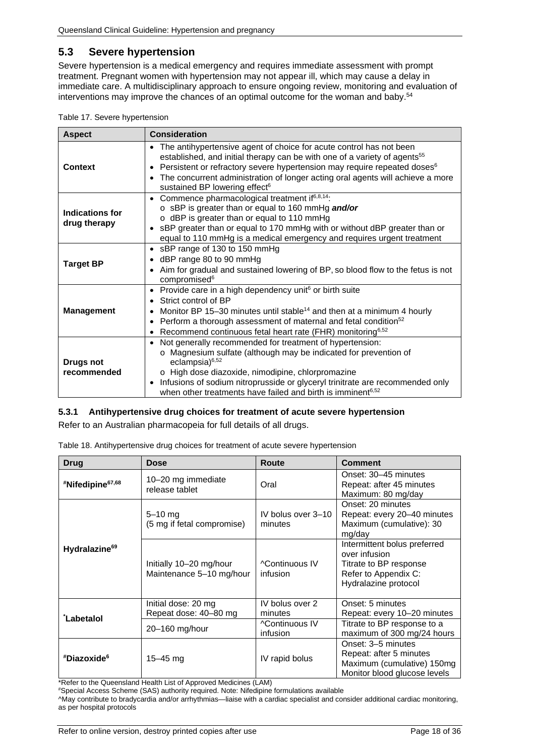## <span id="page-17-0"></span>**5.3 Severe hypertension**

Severe hypertension is a medical emergency and requires immediate assessment with prompt treatment. Pregnant women with hypertension may not appear ill, which may cause a delay in immediate care. A multidisciplinary approach to ensure ongoing review, monitoring and evaluation of interventions may improve the chances of an optimal outcome for the woman and baby. 54

<span id="page-17-2"></span>

| <b>Aspect</b>                   | <b>Consideration</b>                                                                                                                                                                                                                                                                                                                                                                                                       |  |  |
|---------------------------------|----------------------------------------------------------------------------------------------------------------------------------------------------------------------------------------------------------------------------------------------------------------------------------------------------------------------------------------------------------------------------------------------------------------------------|--|--|
| <b>Context</b>                  | The antihypertensive agent of choice for acute control has not been<br>$\bullet$<br>established, and initial therapy can be with one of a variety of agents <sup>55</sup><br>Persistent or refractory severe hypertension may require repeated doses <sup>6</sup><br>$\bullet$<br>The concurrent administration of longer acting oral agents will achieve a more<br>$\bullet$<br>sustained BP lowering effect <sup>6</sup> |  |  |
| Indications for<br>drug therapy | Commence pharmacological treatment if <sup>6,8,14</sup> :<br>$\bullet$<br>o sBP is greater than or equal to 160 mmHg and/or<br>o dBP is greater than or equal to 110 mmHg<br>sBP greater than or equal to 170 mmHg with or without dBP greater than or<br>$\bullet$<br>equal to 110 mmHg is a medical emergency and requires urgent treatment                                                                              |  |  |
| <b>Target BP</b>                | sBP range of 130 to 150 mmHg<br>$\bullet$<br>dBP range 80 to 90 mmHg<br>$\bullet$<br>Aim for gradual and sustained lowering of BP, so blood flow to the fetus is not<br>$\bullet$<br>compromised <sup>6</sup>                                                                                                                                                                                                              |  |  |
| <b>Management</b>               | Provide care in a high dependency unit <sup>6</sup> or birth suite<br>$\bullet$<br>Strict control of BP<br>Monitor BP 15-30 minutes until stable <sup>14</sup> and then at a minimum 4 hourly<br>$\bullet$<br>Perform a thorough assessment of maternal and fetal condition <sup>52</sup><br>$\bullet$<br>Recommend continuous fetal heart rate (FHR) monitoring <sup>6,52</sup><br>$\bullet$                              |  |  |
| <b>Drugs not</b><br>recommended | • Not generally recommended for treatment of hypertension:<br>o Magnesium sulfate (although may be indicated for prevention of<br>eclampsia $6,52$<br>o High dose diazoxide, nimodipine, chlorpromazine<br>Infusions of sodium nitroprusside or glyceryl trinitrate are recommended only<br>$\bullet$<br>when other treatments have failed and birth is imminent <sup>6,52</sup>                                           |  |  |

#### <span id="page-17-1"></span>**5.3.1 Antihypertensive drug choices for treatment of acute severe hypertension**

<span id="page-17-3"></span>Refer to an Australian pharmacopeia for full details of all drugs.

| Table 18. Antihypertensive drug choices for treatment of acute severe hypertension |  |  |
|------------------------------------------------------------------------------------|--|--|
|                                                                                    |  |  |

| Drug                         | <b>Dose</b>                                         | Route                             | <b>Comment</b>                                                                                                          |
|------------------------------|-----------------------------------------------------|-----------------------------------|-------------------------------------------------------------------------------------------------------------------------|
| #Nifedipine <sup>67,68</sup> | 10-20 mg immediate<br>release tablet                | Oral                              | Onset: 30-45 minutes<br>Repeat: after 45 minutes<br>Maximum: 80 mg/day                                                  |
| Hydralazine <sup>69</sup>    | $5 - 10$ mg<br>(5 mg if fetal compromise)           | IV bolus over 3-10<br>minutes     | Onset: 20 minutes<br>Repeat: every 20-40 minutes<br>Maximum (cumulative): 30<br>mg/day                                  |
|                              | Initially 10-20 mg/hour<br>Maintenance 5-10 mg/hour | <b>^Continuous IV</b><br>infusion | Intermittent bolus preferred<br>over infusion<br>Titrate to BP response<br>Refer to Appendix C:<br>Hydralazine protocol |
| <b>Labetalol</b>             | Initial dose: 20 mg<br>Repeat dose: 40-80 mg        | IV bolus over 2<br>minutes        | Onset: 5 minutes<br>Repeat: every 10-20 minutes                                                                         |
|                              | 20-160 mg/hour                                      | ^Continuous IV<br>infusion        | Titrate to BP response to a<br>maximum of 300 mg/24 hours                                                               |
| #Diazoxide <sup>6</sup>      | $15 - 45$ mg                                        | IV rapid bolus                    | Onset: 3-5 minutes<br>Repeat: after 5 minutes<br>Maximum (cumulative) 150mg<br>Monitor blood glucose levels             |

\*Refer to the Queensland Health List of Approved Medicines (LAM)

# Special Access Scheme (SAS) authority required. Note: Nifedipine formulations available ^May contribute to bradycardia and/or arrhythmias—liaise with a cardiac specialist and consider additional cardiac monitoring, as per hospital protocols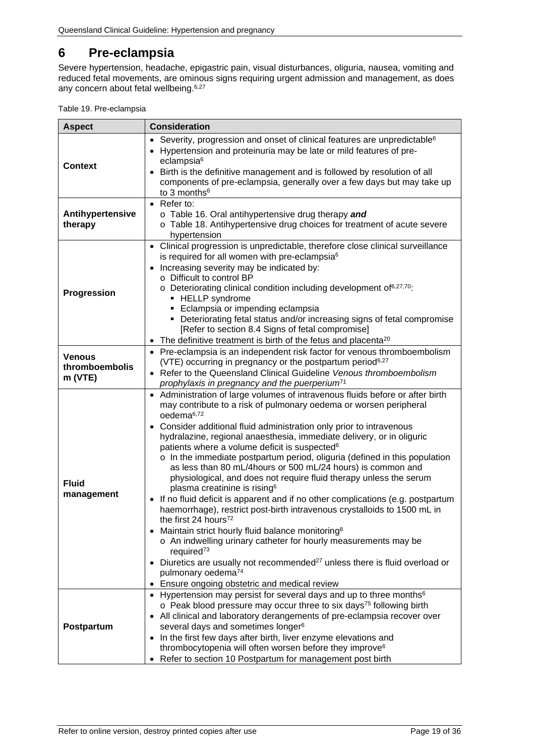# <span id="page-18-0"></span>**6 Pre-eclampsia**

Severe hypertension, headache, epigastric pain, visual disturbances, oliguria, nausea, vomiting and reduced fetal movements, are ominous signs requiring urgent admission and management, as does any concern about fetal wellbeing.<sup>6,27</sup>

<span id="page-18-1"></span>

| <b>Aspect</b>                              | <b>Consideration</b>                                                                                                                                                                                                                                                                                                                                                                                                                                                                                                                                                                                                                                                                                                                                                                                                                                                                                                                                                                                                                                                                                                                                                                                                |  |  |
|--------------------------------------------|---------------------------------------------------------------------------------------------------------------------------------------------------------------------------------------------------------------------------------------------------------------------------------------------------------------------------------------------------------------------------------------------------------------------------------------------------------------------------------------------------------------------------------------------------------------------------------------------------------------------------------------------------------------------------------------------------------------------------------------------------------------------------------------------------------------------------------------------------------------------------------------------------------------------------------------------------------------------------------------------------------------------------------------------------------------------------------------------------------------------------------------------------------------------------------------------------------------------|--|--|
| <b>Context</b>                             | Severity, progression and onset of clinical features are unpredictable <sup>6</sup><br>$\bullet$<br>• Hypertension and proteinuria may be late or mild features of pre-<br>eclampsia <sup>6</sup><br>Birth is the definitive management and is followed by resolution of all<br>$\bullet$<br>components of pre-eclampsia, generally over a few days but may take up<br>to 3 months <sup>6</sup>                                                                                                                                                                                                                                                                                                                                                                                                                                                                                                                                                                                                                                                                                                                                                                                                                     |  |  |
| Antihypertensive<br>therapy                | • Refer to:<br>o Table 16. Oral antihypertensive drug therapy and<br>o Table 18. Antihypertensive drug choices for treatment of acute severe<br>hypertension                                                                                                                                                                                                                                                                                                                                                                                                                                                                                                                                                                                                                                                                                                                                                                                                                                                                                                                                                                                                                                                        |  |  |
| Progression                                | • Clinical progression is unpredictable, therefore close clinical surveillance<br>is required for all women with pre-eclampsia <sup>6</sup><br>Increasing severity may be indicated by:<br>o Difficult to control BP<br>o Deteriorating clinical condition including development of <sup>6,27,70</sup> :<br>• HELLP syndrome<br>• Eclampsia or impending eclampsia<br>• Deteriorating fetal status and/or increasing signs of fetal compromise<br>[Refer to section 8.4 Signs of fetal compromise]<br>• The definitive treatment is birth of the fetus and placenta <sup>20</sup>                                                                                                                                                                                                                                                                                                                                                                                                                                                                                                                                                                                                                                   |  |  |
| <b>Venous</b><br>thromboembolis<br>m (VTE) | • Pre-eclampsia is an independent risk factor for venous thromboembolism<br>(VTE) occurring in pregnancy or the postpartum period <sup>6,27</sup><br>• Refer to the Queensland Clinical Guideline Venous thromboembolism<br>prophylaxis in pregnancy and the puerperium <sup>71</sup>                                                                                                                                                                                                                                                                                                                                                                                                                                                                                                                                                                                                                                                                                                                                                                                                                                                                                                                               |  |  |
| <b>Fluid</b><br>management                 | • Administration of large volumes of intravenous fluids before or after birth<br>may contribute to a risk of pulmonary oedema or worsen peripheral<br>oedema <sup>6,72</sup><br>• Consider additional fluid administration only prior to intravenous<br>hydralazine, regional anaesthesia, immediate delivery, or in oliguric<br>patients where a volume deficit is suspected <sup>6</sup><br>o In the immediate postpartum period, oliguria (defined in this population<br>as less than 80 mL/4hours or 500 mL/24 hours) is common and<br>physiological, and does not require fluid therapy unless the serum<br>plasma creatinine is rising <sup>6</sup><br>If no fluid deficit is apparent and if no other complications (e.g. postpartum<br>$\bullet$<br>haemorrhage), restrict post-birth intravenous crystalloids to 1500 mL in<br>the first 24 hours <sup>72</sup><br>• Maintain strict hourly fluid balance monitoring <sup>8</sup><br>o An indwelling urinary catheter for hourly measurements may be<br>required <sup>73</sup><br>• Diuretics are usually not recommended <sup>27</sup> unless there is fluid overload or<br>pulmonary oedema <sup>74</sup><br>Ensure ongoing obstetric and medical review |  |  |
| Postpartum                                 | • Hypertension may persist for several days and up to three months <sup>6</sup><br>o Peak blood pressure may occur three to six days <sup>75</sup> following birth<br>• All clinical and laboratory derangements of pre-eclampsia recover over<br>several days and sometimes longer <sup>6</sup><br>• In the first few days after birth, liver enzyme elevations and<br>thrombocytopenia will often worsen before they improve <sup>6</sup><br>Refer to section 10 Postpartum for management post birth                                                                                                                                                                                                                                                                                                                                                                                                                                                                                                                                                                                                                                                                                                             |  |  |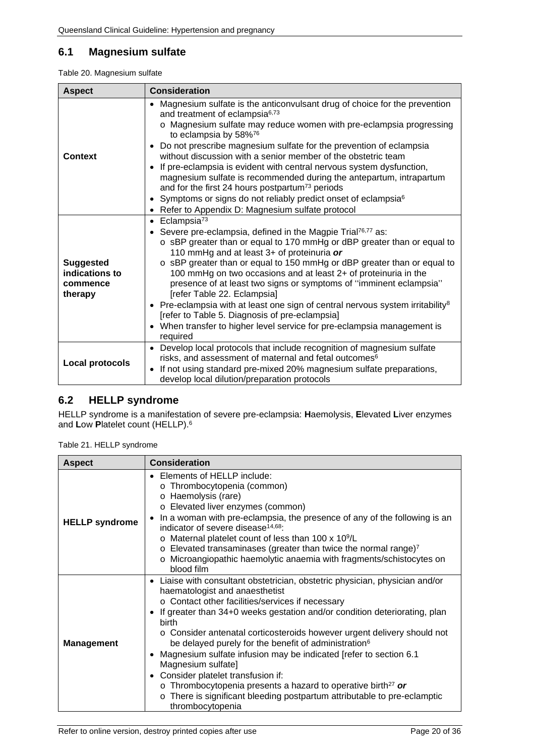## <span id="page-19-0"></span>**6.1 Magnesium sulfate**

<span id="page-19-2"></span>

| Table 20. Magnesium sulfate |  |
|-----------------------------|--|
|-----------------------------|--|

| <b>Aspect</b>                                             | <b>Consideration</b>                                                                                                                                                                                                                                                                                                                                                                                                                                                                                                                                                                                                                                                                                                                        |  |  |
|-----------------------------------------------------------|---------------------------------------------------------------------------------------------------------------------------------------------------------------------------------------------------------------------------------------------------------------------------------------------------------------------------------------------------------------------------------------------------------------------------------------------------------------------------------------------------------------------------------------------------------------------------------------------------------------------------------------------------------------------------------------------------------------------------------------------|--|--|
|                                                           | Magnesium sulfate is the anticonvulsant drug of choice for the prevention<br>$\bullet$<br>and treatment of eclampsia <sup>6,73</sup><br>o Magnesium sulfate may reduce women with pre-eclampsia progressing<br>to eclampsia by 58%76<br>• Do not prescribe magnesium sulfate for the prevention of eclampsia                                                                                                                                                                                                                                                                                                                                                                                                                                |  |  |
| <b>Context</b>                                            | without discussion with a senior member of the obstetric team<br>• If pre-eclampsia is evident with central nervous system dysfunction,<br>magnesium sulfate is recommended during the antepartum, intrapartum                                                                                                                                                                                                                                                                                                                                                                                                                                                                                                                              |  |  |
|                                                           | and for the first 24 hours postpartum <sup>73</sup> periods                                                                                                                                                                                                                                                                                                                                                                                                                                                                                                                                                                                                                                                                                 |  |  |
|                                                           | • Symptoms or signs do not reliably predict onset of eclampsia <sup>6</sup><br>Refer to Appendix D: Magnesium sulfate protocol                                                                                                                                                                                                                                                                                                                                                                                                                                                                                                                                                                                                              |  |  |
| <b>Suggested</b><br>indications to<br>commence<br>therapy | $\bullet$ Eclampsia <sup>73</sup><br>Severe pre-eclampsia, defined in the Magpie Trial <sup>76,77</sup> as:<br>$\bullet$<br>o sBP greater than or equal to 170 mmHg or dBP greater than or equal to<br>110 mmHg and at least 3+ of proteinuria or<br>o sBP greater than or equal to 150 mmHg or dBP greater than or equal to<br>100 mmHg on two occasions and at least 2+ of proteinuria in the<br>presence of at least two signs or symptoms of "imminent eclampsia"<br>[refer Table 22. Eclampsia]<br>• Pre-eclampsia with at least one sign of central nervous system irritability <sup>8</sup><br>[refer to Table 5. Diagnosis of pre-eclampsia]<br>• When transfer to higher level service for pre-eclampsia management is<br>required |  |  |
| Local protocols                                           | • Develop local protocols that include recognition of magnesium sulfate<br>risks, and assessment of maternal and fetal outcomes <sup>6</sup><br>If not using standard pre-mixed 20% magnesium sulfate preparations,<br>$\bullet$<br>develop local dilution/preparation protocols                                                                                                                                                                                                                                                                                                                                                                                                                                                            |  |  |

# <span id="page-19-1"></span>**6.2 HELLP syndrome**

HELLP syndrome is a manifestation of severe pre-eclampsia: **H**aemolysis, **E**levated **L**iver enzymes and **L**ow **P**latelet count (HELLP).6

<span id="page-19-3"></span>Table 21. HELLP syndrome

| <b>Aspect</b>         | <b>Consideration</b>                                                                                                                                                                                                                                                                                                                                                                                                                                                                                                                                                                                                                                                                                                                      |  |  |
|-----------------------|-------------------------------------------------------------------------------------------------------------------------------------------------------------------------------------------------------------------------------------------------------------------------------------------------------------------------------------------------------------------------------------------------------------------------------------------------------------------------------------------------------------------------------------------------------------------------------------------------------------------------------------------------------------------------------------------------------------------------------------------|--|--|
| <b>HELLP</b> syndrome | • Elements of HELLP include:<br>o Thrombocytopenia (common)<br>o Haemolysis (rare)<br>o Elevated liver enzymes (common)<br>In a woman with pre-eclampsia, the presence of any of the following is an<br>$\bullet$<br>indicator of severe disease <sup>14,68</sup> :<br>o Maternal platelet count of less than 100 x 10 <sup>9</sup> /L<br>$\circ$ Elevated transaminases (greater than twice the normal range) <sup>7</sup><br>o Microangiopathic haemolytic anaemia with fragments/schistocytes on<br>blood film                                                                                                                                                                                                                         |  |  |
| <b>Management</b>     | • Liaise with consultant obstetrician, obstetric physician, physician and/or<br>haematologist and anaesthetist<br>o Contact other facilities/services if necessary<br>• If greater than 34+0 weeks gestation and/or condition deteriorating, plan<br>birth<br>o Consider antenatal corticosteroids however urgent delivery should not<br>be delayed purely for the benefit of administration <sup>6</sup><br>Magnesium sulfate infusion may be indicated [refer to section 6.1]<br>Magnesium sulfate]<br>Consider platelet transfusion if:<br>$\bullet$<br>$\circ$ Thrombocytopenia presents a hazard to operative birth <sup>27</sup> or<br>o There is significant bleeding postpartum attributable to pre-eclamptic<br>thrombocytopenia |  |  |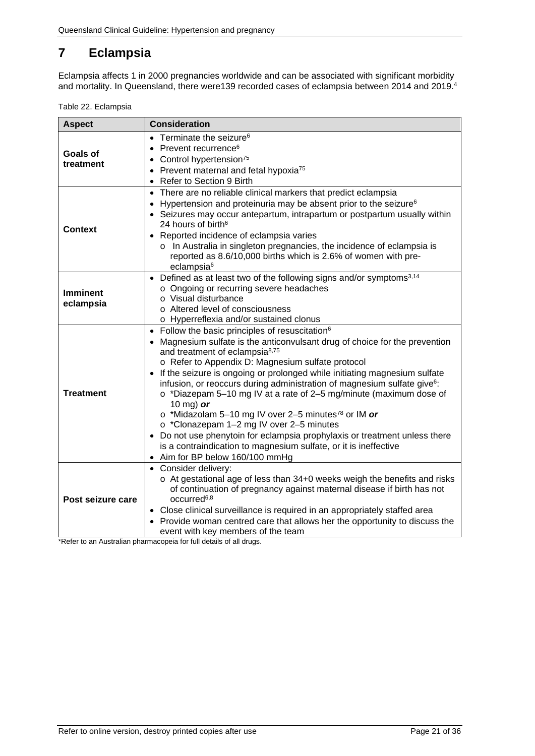# <span id="page-20-0"></span>**7 Eclampsia**

Eclampsia affects 1 in 2000 pregnancies worldwide and can be associated with significant morbidity and mortality. In Queensland, there were139 recorded cases of eclampsia between 2014 and 2019.4

<span id="page-20-1"></span>Table 22. Eclampsia

| <b>Aspect</b>                | <b>Consideration</b>                                                                                                                                                                                                                                                                                                                                                                                                                                                                                                                                                                                                                                                                                                                                                                                                                    |  |
|------------------------------|-----------------------------------------------------------------------------------------------------------------------------------------------------------------------------------------------------------------------------------------------------------------------------------------------------------------------------------------------------------------------------------------------------------------------------------------------------------------------------------------------------------------------------------------------------------------------------------------------------------------------------------------------------------------------------------------------------------------------------------------------------------------------------------------------------------------------------------------|--|
| Goals of<br>treatment        | $\bullet$ Terminate the seizure <sup>6</sup><br>• Prevent recurrence <sup>6</sup><br>• Control hypertension <sup>75</sup><br>• Prevent maternal and fetal hypoxia <sup>75</sup><br>• Refer to Section 9 Birth                                                                                                                                                                                                                                                                                                                                                                                                                                                                                                                                                                                                                           |  |
| Context                      | • There are no reliable clinical markers that predict eclampsia<br>Hypertension and proteinuria may be absent prior to the seizure <sup>6</sup><br>$\bullet$<br>• Seizures may occur antepartum, intrapartum or postpartum usually within<br>24 hours of birth <sup>6</sup><br>Reported incidence of eclampsia varies<br>o In Australia in singleton pregnancies, the incidence of eclampsia is<br>reported as 8.6/10,000 births which is 2.6% of women with pre-<br>eclampsia <sup>6</sup>                                                                                                                                                                                                                                                                                                                                             |  |
| <b>Imminent</b><br>eclampsia | • Defined as at least two of the following signs and/or symptoms <sup>3,14</sup><br>o Ongoing or recurring severe headaches<br>o Visual disturbance<br>o Altered level of consciousness<br>o Hyperreflexia and/or sustained clonus                                                                                                                                                                                                                                                                                                                                                                                                                                                                                                                                                                                                      |  |
| <b>Treatment</b>             | • Follow the basic principles of resuscitation <sup>6</sup><br>• Magnesium sulfate is the anticonvulsant drug of choice for the prevention<br>and treatment of eclampsia <sup>8,75</sup><br>o Refer to Appendix D: Magnesium sulfate protocol<br>If the seizure is ongoing or prolonged while initiating magnesium sulfate<br>$\bullet$<br>infusion, or reoccurs during administration of magnesium sulfate give <sup>6</sup> :<br>o *Diazepam 5-10 mg IV at a rate of 2-5 mg/minute (maximum dose of<br>10 mg) or<br>$\circ$ *Midazolam 5-10 mg IV over 2-5 minutes <sup>78</sup> or IM or<br>o *Clonazepam 1-2 mg IV over 2-5 minutes<br>• Do not use phenytoin for eclampsia prophylaxis or treatment unless there<br>is a contraindication to magnesium sulfate, or it is ineffective<br>Aim for BP below 160/100 mmHg<br>$\bullet$ |  |
| Post seizure care            | • Consider delivery:<br>o At gestational age of less than 34+0 weeks weigh the benefits and risks<br>of continuation of pregnancy against maternal disease if birth has not<br>occurred <sup>6,8</sup><br>• Close clinical surveillance is required in an appropriately staffed area<br>• Provide woman centred care that allows her the opportunity to discuss the<br>event with key members of the team                                                                                                                                                                                                                                                                                                                                                                                                                               |  |

\*Refer to an Australian pharmacopeia for full details of all drugs.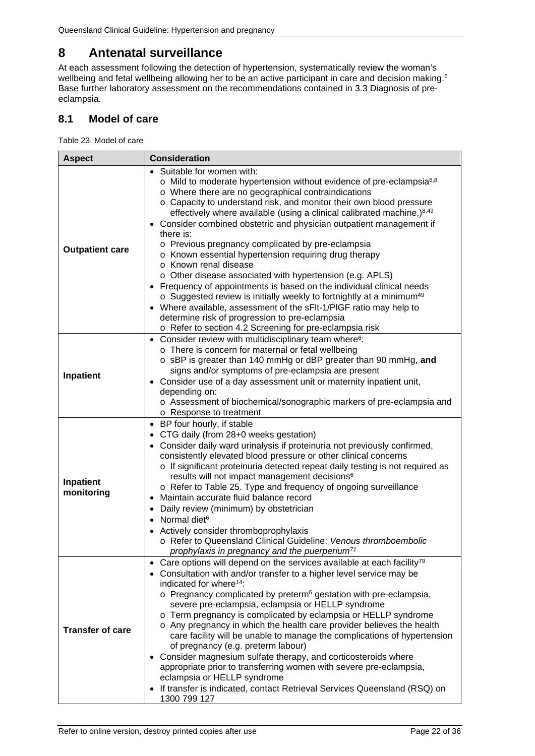# <span id="page-21-0"></span>**8 Antenatal surveillance**

At each assessment following the detection of hypertension, systematically review the woman's wellbeing and fetal wellbeing allowing her to be an active participant in care and decision making. 6 Base further laboratory assessment on the recommendations contained in [3.3](#page-9-0) [Diagnosis of pre](#page-9-0)[eclampsia.](#page-9-0)

## <span id="page-21-1"></span>**8.1 Model of care**

<span id="page-21-2"></span>Table 23. Model of care

| <b>Aspect</b>           | <b>Consideration</b>                                                                                                                                                                                                                                                                                                                                                                                                                                                                                                                                                                                                                                                                                                                                                                                                                                                                                                                                                        |  |  |
|-------------------------|-----------------------------------------------------------------------------------------------------------------------------------------------------------------------------------------------------------------------------------------------------------------------------------------------------------------------------------------------------------------------------------------------------------------------------------------------------------------------------------------------------------------------------------------------------------------------------------------------------------------------------------------------------------------------------------------------------------------------------------------------------------------------------------------------------------------------------------------------------------------------------------------------------------------------------------------------------------------------------|--|--|
| <b>Outpatient care</b>  | • Suitable for women with:<br>$\circ$ Mild to moderate hypertension without evidence of pre-eclampsia $6,8$<br>o Where there are no geographical contraindications<br>o Capacity to understand risk, and monitor their own blood pressure<br>effectively where available (using a clinical calibrated machine,) $8,49$<br>Consider combined obstetric and physician outpatient management if<br>$\bullet$<br>there is:<br>o Previous pregnancy complicated by pre-eclampsia<br>o Known essential hypertension requiring drug therapy<br>o Known renal disease<br>$\circ$ Other disease associated with hypertension (e.g. APLS)<br>Frequency of appointments is based on the individual clinical needs<br>o Suggested review is initially weekly to fortnightly at a minimum <sup>49</sup><br>Where available, assessment of the sFIt-1/PIGF ratio may help to<br>determine risk of progression to pre-eclampsia<br>o Refer to section 4.2 Screening for pre-eclampsia risk |  |  |
| Inpatient               | • Consider review with multidisciplinary team where <sup>6</sup> :<br>o There is concern for maternal or fetal wellbeing<br>o sBP is greater than 140 mmHg or dBP greater than 90 mmHg, and<br>signs and/or symptoms of pre-eclampsia are present<br>• Consider use of a day assessment unit or maternity inpatient unit,<br>depending on:<br>o Assessment of biochemical/sonographic markers of pre-eclampsia and<br>o Response to treatment                                                                                                                                                                                                                                                                                                                                                                                                                                                                                                                               |  |  |
| Inpatient<br>monitoring | • BP four hourly, if stable<br>• CTG daily (from 28+0 weeks gestation)<br>• Consider daily ward urinalysis if proteinuria not previously confirmed,<br>consistently elevated blood pressure or other clinical concerns<br>o If significant proteinuria detected repeat daily testing is not required as<br>results will not impact management decisions <sup>6</sup><br>o Refer to Table 25. Type and frequency of ongoing surveillance<br>Maintain accurate fluid balance record<br>$\bullet$<br>Daily review (minimum) by obstetrician<br>٠<br>Normal diet <sup>6</sup><br>• Actively consider thromboprophylaxis<br>o Refer to Queensland Clinical Guideline: Venous thromboembolic<br>prophylaxis in pregnancy and the puerperium <sup>71</sup>                                                                                                                                                                                                                         |  |  |
| <b>Transfer of care</b> | Care options will depend on the services available at each facility <sup>79</sup><br>٠<br>Consultation with and/or transfer to a higher level service may be<br>indicated for where <sup>14</sup> :<br>o Pregnancy complicated by preterm <sup>6</sup> gestation with pre-eclampsia,<br>severe pre-eclampsia, eclampsia or HELLP syndrome<br>o Term pregnancy is complicated by eclampsia or HELLP syndrome<br>o Any pregnancy in which the health care provider believes the health<br>care facility will be unable to manage the complications of hypertension<br>of pregnancy (e.g. preterm labour)<br>Consider magnesium sulfate therapy, and corticosteroids where<br>appropriate prior to transferring women with severe pre-eclampsia,<br>eclampsia or HELLP syndrome<br>If transfer is indicated, contact Retrieval Services Queensland (RSQ) on<br>1300 799 127                                                                                                    |  |  |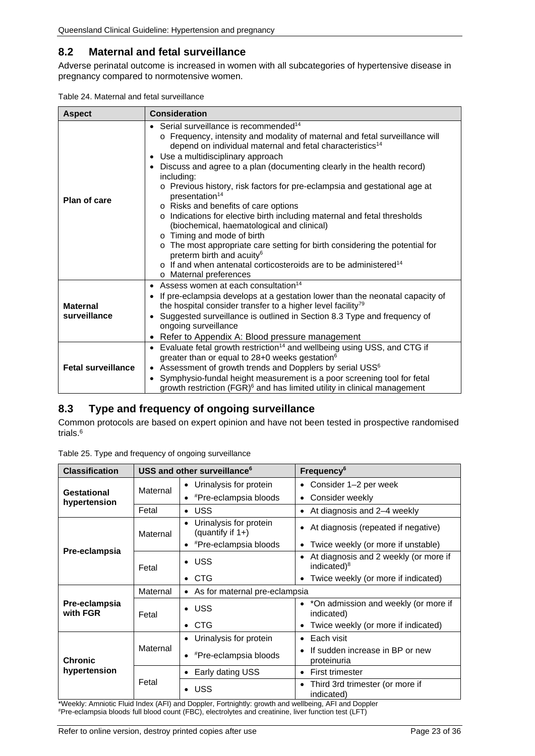## <span id="page-22-0"></span>**8.2 Maternal and fetal surveillance**

Adverse perinatal outcome is increased in women with all subcategories of hypertensive disease in pregnancy compared to normotensive women.

<span id="page-22-2"></span>

| Table 24. Maternal and fetal surveillance |
|-------------------------------------------|
|-------------------------------------------|

| <b>Aspect</b>                   | <b>Consideration</b>                                                                                                                                                                                                                                                                                                                                                                                                                                                                                                                                                                                                                                                                                                                                                                                                                                                                                     |  |
|---------------------------------|----------------------------------------------------------------------------------------------------------------------------------------------------------------------------------------------------------------------------------------------------------------------------------------------------------------------------------------------------------------------------------------------------------------------------------------------------------------------------------------------------------------------------------------------------------------------------------------------------------------------------------------------------------------------------------------------------------------------------------------------------------------------------------------------------------------------------------------------------------------------------------------------------------|--|
| Plan of care                    | • Serial surveillance is recommended <sup>14</sup><br>o Frequency, intensity and modality of maternal and fetal surveillance will<br>depend on individual maternal and fetal characteristics <sup>14</sup><br>• Use a multidisciplinary approach<br>Discuss and agree to a plan (documenting clearly in the health record)<br>$\bullet$<br>including:<br>o Previous history, risk factors for pre-eclampsia and gestational age at<br>presentation <sup>14</sup><br>o Risks and benefits of care options<br>o Indications for elective birth including maternal and fetal thresholds<br>(biochemical, haematological and clinical)<br>o Timing and mode of birth<br>o The most appropriate care setting for birth considering the potential for<br>preterm birth and acuity <sup>6</sup><br>$\circ$ If and when antenatal corticosteroids are to be administered <sup>14</sup><br>o Maternal preferences |  |
| <b>Maternal</b><br>surveillance | Assess women at each consultation <sup>14</sup><br>$\bullet$<br>If pre-eclampsia develops at a gestation lower than the neonatal capacity of<br>٠<br>the hospital consider transfer to a higher level facility <sup>79</sup><br>Suggested surveillance is outlined in Section 8.3 Type and frequency of<br>ongoing surveillance<br>• Refer to Appendix A: Blood pressure management                                                                                                                                                                                                                                                                                                                                                                                                                                                                                                                      |  |
| <b>Fetal surveillance</b>       | • Evaluate fetal growth restriction <sup>14</sup> and wellbeing using USS, and CTG if<br>greater than or equal to 28+0 weeks gestation <sup>6</sup><br>Assessment of growth trends and Dopplers by serial USS <sup>6</sup><br>$\bullet$<br>Symphysio-fundal height measurement is a poor screening tool for fetal<br>$\bullet$<br>growth restriction (FGR) <sup>6</sup> and has limited utility in clinical management                                                                                                                                                                                                                                                                                                                                                                                                                                                                                   |  |

#### <span id="page-22-1"></span>**8.3 Type and frequency of ongoing surveillance**

Common protocols are based on expert opinion and have not been tested in prospective randomised trials. 6

| <b>Classification</b>          | USS and other surveillance <sup>6</sup> |                                                                                                                              | <b>Frequency</b> <sup>6</sup>                                                 |  |
|--------------------------------|-----------------------------------------|------------------------------------------------------------------------------------------------------------------------------|-------------------------------------------------------------------------------|--|
| Gestational<br>hypertension    | Maternal                                | • Urinalysis for protein                                                                                                     | Consider 1-2 per week<br>$\bullet$                                            |  |
|                                |                                         | #Pre-eclampsia bloods<br>٠                                                                                                   | Consider weekly<br>٠                                                          |  |
|                                | Fetal                                   | $\bullet$ USS                                                                                                                | At diagnosis and 2-4 weekly<br>$\bullet$                                      |  |
|                                | Maternal                                | Urinalysis for protein<br>(quantify if 1+)                                                                                   | At diagnosis (repeated if negative)<br>$\bullet$                              |  |
|                                |                                         | #Pre-eclampsia bloods                                                                                                        | • Twice weekly (or more if unstable)                                          |  |
| Pre-eclampsia                  | Fetal                                   | $\bullet$ USS                                                                                                                | At diagnosis and 2 weekly (or more if<br>$\bullet$<br>indicated) <sup>8</sup> |  |
|                                |                                         | $\bullet$ CTG                                                                                                                | Twice weekly (or more if indicated)                                           |  |
|                                | Maternal                                | • As for maternal pre-eclampsia                                                                                              |                                                                               |  |
| Pre-eclampsia<br>with FGR      | Fetal                                   | $\bullet$ USS                                                                                                                | • *On admission and weekly (or more if<br>indicated)                          |  |
|                                |                                         | $\bullet$ CTG                                                                                                                | Twice weekly (or more if indicated)<br>٠                                      |  |
|                                | Maternal                                | • Urinalysis for protein                                                                                                     | Each visit<br>$\bullet$                                                       |  |
| <b>Chronic</b><br>hypertension |                                         | • <i>#Pre-eclampsia bloods</i>                                                                                               | If sudden increase in BP or new<br>proteinuria                                |  |
|                                | Fetal                                   | Early dating USS                                                                                                             | <b>First trimester</b>                                                        |  |
|                                |                                         | <b>USS</b><br>$\bullet$<br>*Meable: Ampietic Fluid Index (AFI) and Deppler Fertrichtly: arouth and wellbeing AFI and Deppler | Third 3rd trimester (or more if<br>indicated)                                 |  |

<span id="page-22-3"></span>Table 25. Type and frequency of ongoing surveillance

Weekly: Amniotic Fluid Index (AFI) and Doppler, Fortnightly: growth and wellbeing, AFI and Doppler # Pre-eclampsia bloods: full blood count (FBC), electrolytes and creatinine, liver function test (LFT)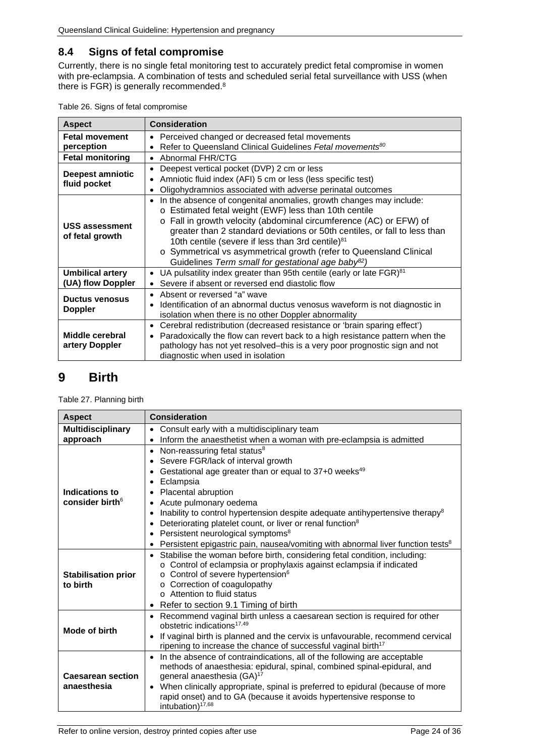## <span id="page-23-0"></span>**8.4 Signs of fetal compromise**

Currently, there is no single fetal monitoring test to accurately predict fetal compromise in women with pre-eclampsia. A combination of tests and scheduled serial fetal surveillance with USS (when there is FGR) is generally recommended.8

<span id="page-23-2"></span>

| Table 26. Signs of fetal compromise |  |
|-------------------------------------|--|
|-------------------------------------|--|

| <b>Aspect</b>                                | <b>Consideration</b>                                                                                                                                                                                                                                                                                                                                                                                                                                                                                 |  |
|----------------------------------------------|------------------------------------------------------------------------------------------------------------------------------------------------------------------------------------------------------------------------------------------------------------------------------------------------------------------------------------------------------------------------------------------------------------------------------------------------------------------------------------------------------|--|
| <b>Fetal movement</b>                        | Perceived changed or decreased fetal movements<br>$\bullet$                                                                                                                                                                                                                                                                                                                                                                                                                                          |  |
| perception                                   | Refer to Queensland Clinical Guidelines Fetal movements <sup>80</sup><br>$\bullet$                                                                                                                                                                                                                                                                                                                                                                                                                   |  |
| <b>Fetal monitoring</b>                      | Abnormal FHR/CTG<br>$\bullet$                                                                                                                                                                                                                                                                                                                                                                                                                                                                        |  |
| Deepest amniotic                             | Deepest vertical pocket (DVP) 2 cm or less<br>$\bullet$<br>Amniotic fluid index (AFI) 5 cm or less (less specific test)<br>$\bullet$                                                                                                                                                                                                                                                                                                                                                                 |  |
| fluid pocket                                 | Oligohydramnios associated with adverse perinatal outcomes<br>$\bullet$                                                                                                                                                                                                                                                                                                                                                                                                                              |  |
| <b>USS assessment</b><br>of fetal growth     | In the absence of congenital anomalies, growth changes may include:<br>$\bullet$<br>o Estimated fetal weight (EWF) less than 10th centile<br>o Fall in growth velocity (abdominal circumference (AC) or EFW) of<br>greater than 2 standard deviations or 50th centiles, or fall to less than<br>10th centile (severe if less than 3rd centile) <sup>81</sup><br>o Symmetrical vs asymmetrical growth (refer to Queensland Clinical<br>Guidelines Term small for gestational age baby <sup>82</sup> ) |  |
| <b>Umbilical artery</b><br>(UA) flow Doppler | UA pulsatility index greater than 95th centile (early or late FGR) <sup>81</sup><br>$\bullet$<br>Severe if absent or reversed end diastolic flow                                                                                                                                                                                                                                                                                                                                                     |  |
| <b>Ductus venosus</b><br><b>Doppler</b>      | Absent or reversed "a" wave<br>$\bullet$<br>Identification of an abnormal ductus venosus waveform is not diagnostic in<br>$\bullet$<br>isolation when there is no other Doppler abnormality                                                                                                                                                                                                                                                                                                          |  |
| Middle cerebral<br>artery Doppler            | Cerebral redistribution (decreased resistance or 'brain sparing effect')<br>$\bullet$<br>Paradoxically the flow can revert back to a high resistance pattern when the<br>$\bullet$<br>pathology has not yet resolved-this is a very poor prognostic sign and not<br>diagnostic when used in isolation                                                                                                                                                                                                |  |

# <span id="page-23-1"></span>**9 Birth**

<span id="page-23-3"></span>Table 27. Planning birth

| <b>Aspect</b>              | <b>Consideration</b>                                                                        |  |  |
|----------------------------|---------------------------------------------------------------------------------------------|--|--|
| <b>Multidisciplinary</b>   | Consult early with a multidisciplinary team<br>$\bullet$                                    |  |  |
| approach                   | Inform the anaesthetist when a woman with pre-eclampsia is admitted<br>$\bullet$            |  |  |
|                            | Non-reassuring fetal status <sup>8</sup><br>$\bullet$                                       |  |  |
|                            | Severe FGR/lack of interval growth                                                          |  |  |
|                            | Gestational age greater than or equal to 37+0 weeks <sup>49</sup><br>$\bullet$              |  |  |
|                            | Eclampsia                                                                                   |  |  |
| Indications to             | Placental abruption                                                                         |  |  |
| consider birth $6$         | Acute pulmonary oedema<br>$\bullet$                                                         |  |  |
|                            | Inability to control hypertension despite adequate antihypertensive therapy <sup>8</sup>    |  |  |
|                            | Deteriorating platelet count, or liver or renal function <sup>8</sup><br>$\bullet$          |  |  |
|                            | Persistent neurological symptoms <sup>8</sup><br>$\bullet$                                  |  |  |
|                            | Persistent epigastric pain, nausea/vomiting with abnormal liver function tests <sup>8</sup> |  |  |
|                            | Stabilise the woman before birth, considering fetal condition, including:<br>$\bullet$      |  |  |
|                            | o Control of eclampsia or prophylaxis against eclampsia if indicated                        |  |  |
| <b>Stabilisation prior</b> | o Control of severe hypertension <sup>6</sup>                                               |  |  |
| to birth                   | o Correction of coagulopathy                                                                |  |  |
|                            | o Attention to fluid status                                                                 |  |  |
|                            | Refer to section 9.1 Timing of birth<br>$\bullet$                                           |  |  |
|                            | Recommend vaginal birth unless a caesarean section is required for other<br>$\bullet$       |  |  |
| Mode of birth              | obstetric indications <sup>17,49</sup>                                                      |  |  |
|                            | If vaginal birth is planned and the cervix is unfavourable, recommend cervical<br>$\bullet$ |  |  |
|                            | ripening to increase the chance of successful vaginal birth <sup>17</sup>                   |  |  |
|                            | In the absence of contraindications, all of the following are acceptable                    |  |  |
|                            | methods of anaesthesia: epidural, spinal, combined spinal-epidural, and                     |  |  |
| <b>Caesarean section</b>   | general anaesthesia (GA) <sup>17</sup>                                                      |  |  |
| anaesthesia                | When clinically appropriate, spinal is preferred to epidural (because of more<br>$\bullet$  |  |  |
|                            | rapid onset) and to GA (because it avoids hypertensive response to                          |  |  |
|                            | intubation) <sup>17,68</sup>                                                                |  |  |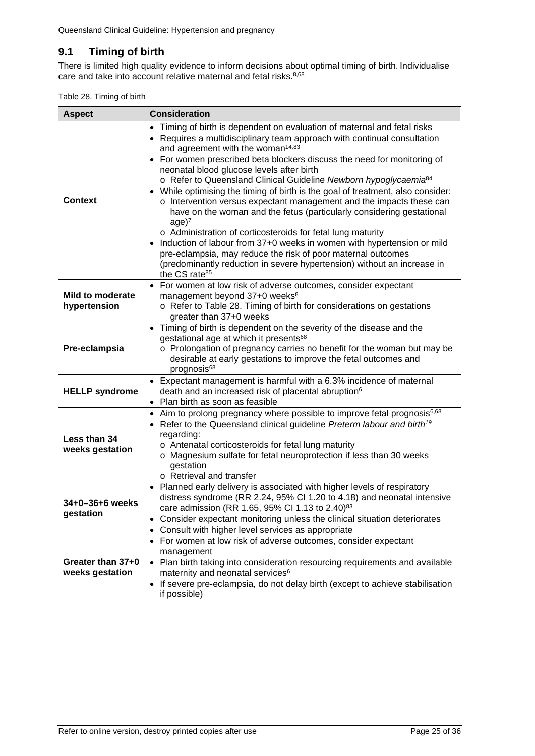## <span id="page-24-0"></span>**9.1 Timing of birth**

There is limited high quality evidence to inform decisions about optimal timing of birth. Individualise care and take into account relative maternal and fetal risks.<sup>8,68</sup>

<span id="page-24-1"></span>

| Table 28. Timing of birth |  |  |  |
|---------------------------|--|--|--|
|---------------------------|--|--|--|

| <b>Aspect</b>                           | <b>Consideration</b>                                                                                                                                                                                                                                                                                                                                                                                                                                                                                                                                                                                                                                                                                                                                                                                                                                                                                                                                                                                       |  |  |
|-----------------------------------------|------------------------------------------------------------------------------------------------------------------------------------------------------------------------------------------------------------------------------------------------------------------------------------------------------------------------------------------------------------------------------------------------------------------------------------------------------------------------------------------------------------------------------------------------------------------------------------------------------------------------------------------------------------------------------------------------------------------------------------------------------------------------------------------------------------------------------------------------------------------------------------------------------------------------------------------------------------------------------------------------------------|--|--|
| <b>Context</b>                          | Timing of birth is dependent on evaluation of maternal and fetal risks<br>$\bullet$<br>Requires a multidisciplinary team approach with continual consultation<br>and agreement with the woman <sup>14,83</sup><br>For women prescribed beta blockers discuss the need for monitoring of<br>neonatal blood glucose levels after birth<br>o Refer to Queensland Clinical Guideline Newborn hypoglycaemia <sup>84</sup><br>While optimising the timing of birth is the goal of treatment, also consider:<br>$\bullet$<br>o Intervention versus expectant management and the impacts these can<br>have on the woman and the fetus (particularly considering gestational<br>age)7<br>o Administration of corticosteroids for fetal lung maturity<br>Induction of labour from 37+0 weeks in women with hypertension or mild<br>$\bullet$<br>pre-eclampsia, may reduce the risk of poor maternal outcomes<br>(predominantly reduction in severe hypertension) without an increase in<br>the CS rate <sup>85</sup> |  |  |
| <b>Mild to moderate</b><br>hypertension | For women at low risk of adverse outcomes, consider expectant<br>$\bullet$<br>management beyond 37+0 weeks <sup>8</sup><br>o Refer to Table 28. Timing of birth for considerations on gestations<br>greater than 37+0 weeks                                                                                                                                                                                                                                                                                                                                                                                                                                                                                                                                                                                                                                                                                                                                                                                |  |  |
| Pre-eclampsia                           | Timing of birth is dependent on the severity of the disease and the<br>$\bullet$<br>gestational age at which it presents <sup>68</sup><br>o Prolongation of pregnancy carries no benefit for the woman but may be<br>desirable at early gestations to improve the fetal outcomes and<br>prognosis <sup>68</sup>                                                                                                                                                                                                                                                                                                                                                                                                                                                                                                                                                                                                                                                                                            |  |  |
| <b>HELLP</b> syndrome                   | Expectant management is harmful with a 6.3% incidence of maternal<br>death and an increased risk of placental abruption <sup>6</sup><br>Plan birth as soon as feasible                                                                                                                                                                                                                                                                                                                                                                                                                                                                                                                                                                                                                                                                                                                                                                                                                                     |  |  |
| Less than 34<br>weeks gestation         | Aim to prolong pregnancy where possible to improve fetal prognosis <sup>6,68</sup><br>$\bullet$<br>Refer to the Queensland clinical guideline Preterm labour and birth <sup>19</sup><br>regarding:<br>o Antenatal corticosteroids for fetal lung maturity<br>o Magnesium sulfate for fetal neuroprotection if less than 30 weeks<br>gestation<br>o Retrieval and transfer                                                                                                                                                                                                                                                                                                                                                                                                                                                                                                                                                                                                                                  |  |  |
| 34+0-36+6 weeks<br>gestation            | • Planned early delivery is associated with higher levels of respiratory<br>distress syndrome (RR 2.24, 95% CI 1.20 to 4.18) and neonatal intensive<br>care admission (RR 1.65, 95% CI 1.13 to 2.40) <sup>83</sup><br>• Consider expectant monitoring unless the clinical situation deteriorates<br>Consult with higher level services as appropriate                                                                                                                                                                                                                                                                                                                                                                                                                                                                                                                                                                                                                                                      |  |  |
| Greater than 37+0<br>weeks gestation    | • For women at low risk of adverse outcomes, consider expectant<br>management<br>• Plan birth taking into consideration resourcing requirements and available<br>maternity and neonatal services <sup>6</sup><br>If severe pre-eclampsia, do not delay birth (except to achieve stabilisation<br>if possible)                                                                                                                                                                                                                                                                                                                                                                                                                                                                                                                                                                                                                                                                                              |  |  |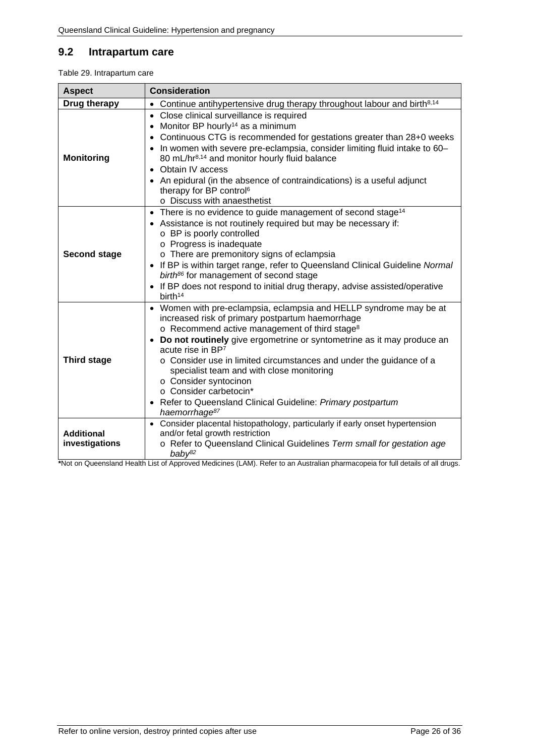## <span id="page-25-0"></span>**9.2 Intrapartum care**

<span id="page-25-1"></span>Table 29. Intrapartum care

| <b>Aspect</b>                       | <b>Consideration</b>                                                                                                                                                                                                                                                                                                                                                                                                                                                                                                                                                |  |  |
|-------------------------------------|---------------------------------------------------------------------------------------------------------------------------------------------------------------------------------------------------------------------------------------------------------------------------------------------------------------------------------------------------------------------------------------------------------------------------------------------------------------------------------------------------------------------------------------------------------------------|--|--|
| Drug therapy                        | Continue antihypertensive drug therapy throughout labour and birth <sup>8,14</sup><br>$\bullet$                                                                                                                                                                                                                                                                                                                                                                                                                                                                     |  |  |
| <b>Monitoring</b>                   | Close clinical surveillance is required<br>$\bullet$<br>Monitor BP hourly <sup>14</sup> as a minimum<br>$\bullet$<br>Continuous CTG is recommended for gestations greater than 28+0 weeks<br>• In women with severe pre-eclampsia, consider limiting fluid intake to 60-<br>80 mL/hr <sup>8,14</sup> and monitor hourly fluid balance<br>Obtain IV access<br>• An epidural (in the absence of contraindications) is a useful adjunct<br>therapy for BP control <sup>6</sup><br>o Discuss with anaesthetist                                                          |  |  |
| <b>Second stage</b>                 | • There is no evidence to guide management of second stage <sup>14</sup><br>• Assistance is not routinely required but may be necessary if:<br>o BP is poorly controlled<br>o Progress is inadequate<br>o There are premonitory signs of eclampsia<br>• If BP is within target range, refer to Queensland Clinical Guideline Normal<br>birth <sup>86</sup> for management of second stage<br>• If BP does not respond to initial drug therapy, advise assisted/operative<br>birth <sup>14</sup>                                                                     |  |  |
| <b>Third stage</b>                  | • Women with pre-eclampsia, eclampsia and HELLP syndrome may be at<br>increased risk of primary postpartum haemorrhage<br>o Recommend active management of third stage <sup>8</sup><br>Do not routinely give ergometrine or syntometrine as it may produce an<br>$\bullet$<br>acute rise in BP7<br>o Consider use in limited circumstances and under the guidance of a<br>specialist team and with close monitoring<br>o Consider syntocinon<br>○ Consider carbetocin*<br>• Refer to Queensland Clinical Guideline: Primary postpartum<br>haemorrhage <sup>87</sup> |  |  |
| <b>Additional</b><br>investigations | • Consider placental histopathology, particularly if early onset hypertension<br>and/or fetal growth restriction<br>o Refer to Queensland Clinical Guidelines Term small for gestation age<br>$b$ aby <sup>82</sup>                                                                                                                                                                                                                                                                                                                                                 |  |  |

**\***Not on Queensland Health List of Approved Medicines (LAM). Refer to an Australian pharmacopeia for full details of all drugs.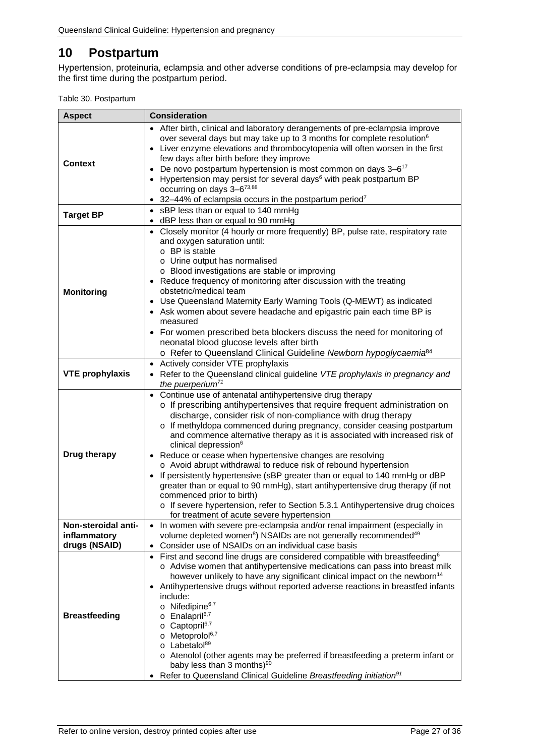# <span id="page-26-0"></span>**10 Postpartum**

Hypertension, proteinuria, eclampsia and other adverse conditions of pre-eclampsia may develop for the first time during the postpartum period.

<span id="page-26-1"></span>

| <b>Aspect</b>                                        | <b>Consideration</b>                                                                                                                                                                                                                                                                                                                                                                                                                                                                                                                                                                                                                                                                                                                                                                                                                                                                        |  |  |
|------------------------------------------------------|---------------------------------------------------------------------------------------------------------------------------------------------------------------------------------------------------------------------------------------------------------------------------------------------------------------------------------------------------------------------------------------------------------------------------------------------------------------------------------------------------------------------------------------------------------------------------------------------------------------------------------------------------------------------------------------------------------------------------------------------------------------------------------------------------------------------------------------------------------------------------------------------|--|--|
| <b>Context</b>                                       | • After birth, clinical and laboratory derangements of pre-eclampsia improve<br>over several days but may take up to 3 months for complete resolution <sup>6</sup><br>• Liver enzyme elevations and thrombocytopenia will often worsen in the first<br>few days after birth before they improve<br>De novo postpartum hypertension is most common on days 3-6 <sup>17</sup><br>$\bullet$<br>Hypertension may persist for several days <sup>6</sup> with peak postpartum BP<br>occurring on days 3-6 <sup>73,88</sup><br>32-44% of eclampsia occurs in the postpartum period <sup>7</sup><br>٠                                                                                                                                                                                                                                                                                               |  |  |
| <b>Target BP</b>                                     | sBP less than or equal to 140 mmHg<br>$\bullet$<br>dBP less than or equal to 90 mmHg                                                                                                                                                                                                                                                                                                                                                                                                                                                                                                                                                                                                                                                                                                                                                                                                        |  |  |
| <b>Monitoring</b>                                    | Closely monitor (4 hourly or more frequently) BP, pulse rate, respiratory rate<br>and oxygen saturation until:<br>o BP is stable<br>o Urine output has normalised<br>o Blood investigations are stable or improving<br>• Reduce frequency of monitoring after discussion with the treating<br>obstetric/medical team<br>• Use Queensland Maternity Early Warning Tools (Q-MEWT) as indicated<br>• Ask women about severe headache and epigastric pain each time BP is<br>measured<br>• For women prescribed beta blockers discuss the need for monitoring of<br>neonatal blood glucose levels after birth<br>o Refer to Queensland Clinical Guideline Newborn hypoglycaemia <sup>84</sup>                                                                                                                                                                                                   |  |  |
| <b>VTE prophylaxis</b>                               | Actively consider VTE prophylaxis<br>$\bullet$<br>• Refer to the Queensland clinical guideline VTE prophylaxis in pregnancy and<br>the puerperium <sup>71</sup>                                                                                                                                                                                                                                                                                                                                                                                                                                                                                                                                                                                                                                                                                                                             |  |  |
| <b>Drug therapy</b>                                  | Continue use of antenatal antihypertensive drug therapy<br>$\bullet$<br>o If prescribing antihypertensives that require frequent administration on<br>discharge, consider risk of non-compliance with drug therapy<br>o If methyldopa commenced during pregnancy, consider ceasing postpartum<br>and commence alternative therapy as it is associated with increased risk of<br>clinical depression <sup>6</sup><br>• Reduce or cease when hypertensive changes are resolving<br>o Avoid abrupt withdrawal to reduce risk of rebound hypertension<br>If persistently hypertensive (sBP greater than or equal to 140 mmHg or dBP<br>$\bullet$<br>greater than or equal to 90 mmHg), start antihypertensive drug therapy (if not<br>commenced prior to birth)<br>o If severe hypertension, refer to Section 5.3.1 Antihypertensive drug choices<br>for treatment of acute severe hypertension |  |  |
| Non-steroidal anti-<br>inflammatory<br>drugs (NSAID) | • In women with severe pre-eclampsia and/or renal impairment (especially in<br>volume depleted women <sup>8</sup> ) NSAIDs are not generally recommended <sup>49</sup><br>Consider use of NSAIDs on an individual case basis<br>$\bullet$                                                                                                                                                                                                                                                                                                                                                                                                                                                                                                                                                                                                                                                   |  |  |
| <b>Breastfeeding</b>                                 | First and second line drugs are considered compatible with breastfeeding <sup>6</sup><br>$\bullet$<br>o Advise women that antihypertensive medications can pass into breast milk<br>however unlikely to have any significant clinical impact on the newborn <sup>14</sup><br>Antihypertensive drugs without reported adverse reactions in breastfed infants<br>include:<br>$\circ$ Nifedipine <sup>6,7</sup><br>o Enalapril <sup>6,7</sup><br>Captopril <sup>6,7</sup><br>O<br>o Metoprolol <sup>6,7</sup><br>o Labetalol <sup>89</sup><br>o Atenolol (other agents may be preferred if breastfeeding a preterm infant or<br>baby less than 3 months) <sup>90</sup><br>Refer to Queensland Clinical Guideline Breastfeeding initiation <sup>91</sup>                                                                                                                                        |  |  |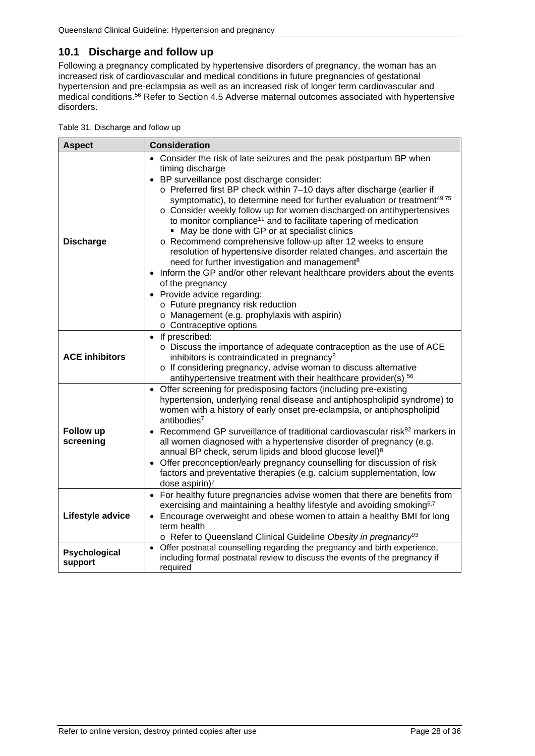## <span id="page-27-0"></span>**10.1 Discharge and follow up**

Following a pregnancy complicated by hypertensive disorders of pregnancy, the woman has an increased risk of cardiovascular and medical conditions in future pregnancies of gestational hypertension and pre-eclampsia as well as an increased risk of longer term cardiovascular and medical conditions.<sup>56</sup> Refer to Section [4.5](#page-15-1) Adverse maternal outcomes associated with hypertensive [disorders.](#page-15-1)

<span id="page-27-1"></span>

|  | Table 31. Discharge and follow up |  |  |  |
|--|-----------------------------------|--|--|--|
|--|-----------------------------------|--|--|--|

| <b>Aspect</b>                 | <b>Consideration</b>                                                                                                                                                                                                                                                                                                                                                                                                                                                                                                                                                                                                                                                                                                                                                                                                                                                                                                                                                           |
|-------------------------------|--------------------------------------------------------------------------------------------------------------------------------------------------------------------------------------------------------------------------------------------------------------------------------------------------------------------------------------------------------------------------------------------------------------------------------------------------------------------------------------------------------------------------------------------------------------------------------------------------------------------------------------------------------------------------------------------------------------------------------------------------------------------------------------------------------------------------------------------------------------------------------------------------------------------------------------------------------------------------------|
| <b>Discharge</b>              | • Consider the risk of late seizures and the peak postpartum BP when<br>timing discharge<br>• BP surveillance post discharge consider:<br>o Preferred first BP check within 7-10 days after discharge (earlier if<br>symptomatic), to determine need for further evaluation or treatment <sup>49,75</sup><br>o Consider weekly follow up for women discharged on antihypertensives<br>to monitor compliance <sup>11</sup> and to facilitate tapering of medication<br>• May be done with GP or at specialist clinics<br>o Recommend comprehensive follow-up after 12 weeks to ensure<br>resolution of hypertensive disorder related changes, and ascertain the<br>need for further investigation and management <sup>8</sup><br>• Inform the GP and/or other relevant healthcare providers about the events<br>of the pregnancy<br>• Provide advice regarding:<br>o Future pregnancy risk reduction<br>o Management (e.g. prophylaxis with aspirin)<br>o Contraceptive options |
| <b>ACE inhibitors</b>         | • If prescribed:<br>o Discuss the importance of adequate contraception as the use of ACE<br>inhibitors is contraindicated in pregnancy <sup>8</sup><br>o If considering pregnancy, advise woman to discuss alternative<br>antihypertensive treatment with their healthcare provider(s) 56                                                                                                                                                                                                                                                                                                                                                                                                                                                                                                                                                                                                                                                                                      |
| <b>Follow up</b><br>screening | Offer screening for predisposing factors (including pre-existing<br>$\bullet$<br>hypertension, underlying renal disease and antiphospholipid syndrome) to<br>women with a history of early onset pre-eclampsia, or antiphospholipid<br>antibodies $7$<br>• Recommend GP surveillance of traditional cardiovascular risk <sup>92</sup> markers in<br>all women diagnosed with a hypertensive disorder of pregnancy (e.g.<br>annual BP check, serum lipids and blood glucose level) <sup>8</sup><br>• Offer preconception/early pregnancy counselling for discussion of risk<br>factors and preventative therapies (e.g. calcium supplementation, low<br>dose aspirin $)^7$                                                                                                                                                                                                                                                                                                      |
| Lifestyle advice              | For healthy future pregnancies advise women that there are benefits from<br>$\bullet$<br>exercising and maintaining a healthy lifestyle and avoiding smoking <sup>6,7</sup><br>Encourage overweight and obese women to attain a healthy BMI for long<br>term health<br>o Refer to Queensland Clinical Guideline Obesity in pregnancy <sup>93</sup>                                                                                                                                                                                                                                                                                                                                                                                                                                                                                                                                                                                                                             |
| Psychological<br>support      | Offer postnatal counselling regarding the pregnancy and birth experience,<br>$\bullet$<br>including formal postnatal review to discuss the events of the pregnancy if<br>required                                                                                                                                                                                                                                                                                                                                                                                                                                                                                                                                                                                                                                                                                                                                                                                              |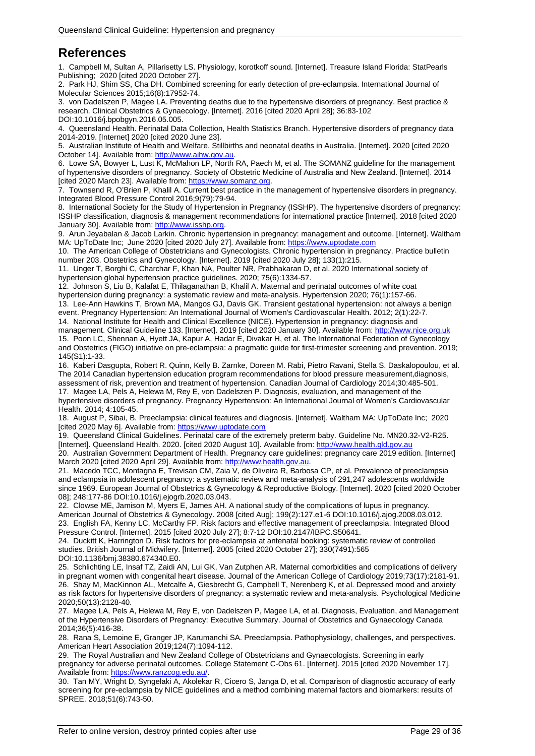# <span id="page-28-0"></span>**References**

1. Campbell M, Sultan A, Pillarisetty LS. Physiology, korotkoff sound. [Internet]. Treasure Island Florida: StatPearls Publishing; 2020 [cited 2020 October 27].

2. Park HJ, Shim SS, Cha DH. Combined screening for early detection of pre-eclampsia. International Journal of Molecular Sciences 2015;16(8):17952-74.

3. von Dadelszen P, Magee LA. Preventing deaths due to the hypertensive disorders of pregnancy. Best practice & research. Clinical Obstetrics & Gynaecology. [Internet]. 2016 [cited 2020 April 28]; 36:83-102 DOI:10.1016/j.bpobgyn.2016.05.005.

4. Queensland Health. Perinatal Data Collection, Health Statistics Branch. Hypertensive disorders of pregnancy data 2014-2019. [Internet] 2020 [cited 2020 June 23].

5. Australian Institute of Health and Welfare. Stillbirths and neonatal deaths in Australia. [Internet]. 2020 [cited 2020 October 14]. Available from: http://www.aihw.gov.au

6. Lowe SA, Bowyer L, Lust K, McMahon LP, North RA, Paech M, et al. The SOMANZ guideline for the management of hypertensive disorders of pregnancy. Society of Obstetric Medicine of Australia and New Zealand. [Internet]. 2014 [cited 2020 March 23]. Available from: https://www.somanz.org

7. Townsend R, O'Brien P, Khalil A. Current best practice in the management of hypertensive disorders in pregnancy. Integrated Blood Pressure Control 2016;9(79):79-94.

8. International Society for the Study of Hypertension in Pregnancy (ISSHP). The hypertensive disorders of pregnancy: ISSHP classification, diagnosis & management recommendations for international practice [Internet]. 2018 [cited 2020 January 30]. Available from[: http://www.isshp.org.](http://www.isshp.org/)

9. Arun Jeyabalan & Jacob Larkin. Chronic hypertension in pregnancy: management and outcome. [Internet]. Waltham MA: UpToDate Inc; June 2020 [cited 2020 July 27]. Available from[: https://www.uptodate.com](https://www.uptodate.com/)

10. The American College of Obstetricians and Gynecologists. Chronic hypertension in pregnancy. Practice bulletin number 203. Obstetrics and Gynecology. [Internet]. 2019 [cited 2020 July 28]; 133(1):215.

11. Unger T, Borghi C, Charchar F, Khan NA, Poulter NR, Prabhakaran D, et al. 2020 International society of hypertension global hypertension practice guidelines. 2020; 75(6):1334-57.

12. Johnson S, Liu B, Kalafat E, Thilaganathan B, Khalil A. Maternal and perinatal outcomes of white coat hypertension during pregnancy: a systematic review and meta-analysis. Hypertension 2020; 76(1):157-66.

13. Lee-Ann Hawkins T, Brown MA, Mangos GJ, Davis GK. Transient gestational hypertension: not always a benign event. Pregnancy Hypertension: An International Journal of Women's Cardiovascular Health. 2012; 2(1):22-7.

14. National Institute for Health and Clinical Excellence (NICE). Hypertension in pregnancy: diagnosis and management. Clinical Guideline 133. [Internet]. 2019 [cited 2020 January 30]. Available from[: http://www.nice.org.uk](http://www.nice.org.uk/) 15. Poon LC, Shennan A, Hyett JA, Kapur A, Hadar E, Divakar H, et al. The International Federation of Gynecology and Obstetrics (FIGO) initiative on pre-eclampsia: a pragmatic guide for first-trimester screening and prevention. 2019; 145(S1):1-33.

16. Kaberi Dasgupta, Robert R. Quinn, Kelly B. Zarnke, Doreen M. Rabi, Pietro Ravani, Stella S. Daskalopoulou, et al. The 2014 Canadian hypertension education program recommendations for blood pressure measurement,diagnosis, assessment of risk, prevention and treatment of hypertension. Canadian Journal of Cardiology 2014;30:485-501.

17. Magee LA, Pels A, Helewa M, Rey E, von Dadelszen P. Diagnosis, evaluation, and management of the hypertensive disorders of pregnancy. Pregnancy Hypertension: An International Journal of Women's Cardiovascular Health. 2014; 4:105-45.

18. August P, Sibai, B. Preeclampsia: clinical features and diagnosis. [Internet]. Waltham MA: UpToDate Inc; 2020 [cited 2020 May 6]. Available from[: https://www.uptodate.com](https://www.uptodate.com/)

19. Queensland Clinical Guidelines. Perinatal care of the extremely preterm baby. Guideline No. MN20.32-V2-R25. [Internet]. Queensland Health. 2020. [cited 2020 August 10]. Available from: [http://www.health.qld.gov.au](http://www.health.qld.gov.au/)

20. Australian Government Department of Health. Pregnancy care guidelines: pregnancy care 2019 edition. [Internet] March 2020 [cited 2020 April 29]. Available from[: http://www.health.gov.au.](http://www.health.gov.au/)

21. Macedo TCC, Montagna E, Trevisan CM, Zaia V, de Oliveira R, Barbosa CP, et al. Prevalence of preeclampsia and eclampsia in adolescent pregnancy: a systematic review and meta-analysis of 291,247 adolescents worldwide since 1969. European Journal of Obstetrics & Gynecology & Reproductive Biology. [Internet]. 2020 [cited 2020 October 08]; 248:177-86 DOI:10.1016/j.ejogrb.2020.03.043.

22. Clowse ME, Jamison M, Myers E, James AH. A national study of the complications of lupus in pregnancy. American Journal of Obstetrics & Gynecology. 2008 [cited Aug]; 199(2):127.e1-6 DOI:10.1016/j.ajog.2008.03.012. 23. English FA, Kenny LC, McCarthy FP. Risk factors and effective management of preeclampsia. Integrated Blood Pressure Control. [Internet]. 2015 [cited 2020 July 27]; 8:7-12 DOI:10.2147/IBPC.S50641.

24. Duckitt K, Harrington D. Risk factors for pre-eclampsia at antenatal booking: systematic review of controlled studies. British Journal of Midwifery. [Internet]. 2005 [cited 2020 October 27]; 330(7491):565 DOI:10.1136/bmj.38380.674340.E0.

25. Schlichting LE, Insaf TZ, Zaidi AN, Lui GK, Van Zutphen AR. Maternal comorbidities and complications of delivery in pregnant women with congenital heart disease. Journal of the American College of Cardiology 2019;73(17):2181-91. 26. Shay M, MacKinnon AL, Metcalfe A, Giesbrecht G, Campbell T, Nerenberg K, et al. Depressed mood and anxiety as risk factors for hypertensive disorders of pregnancy: a systematic review and meta-analysis. Psychological Medicine 2020;50(13):2128-40.

27. Magee LA, Pels A, Helewa M, Rey E, von Dadelszen P, Magee LA, et al. Diagnosis, Evaluation, and Management of the Hypertensive Disorders of Pregnancy: Executive Summary. Journal of Obstetrics and Gynaecology Canada 2014;36(5):416-38.

28. Rana S, Lemoine E, Granger JP, Karumanchi SA. Preeclampsia. Pathophysiology, challenges, and perspectives. American Heart Association 2019;124(7):1094-112.

29. The Royal Australian and New Zealand College of Obstetricians and Gynaecologists. Screening in early pregnancy for adverse perinatal outcomes. College Statement C-Obs 61. [Internet]. 2015 [cited 2020 November 17]. Available from[: https://www.ranzcog.edu.au/.](https://www.ranzcog.edu.au/)

30. Tan MY, Wright D, Syngelaki A, Akolekar R, Cicero S, Janga D, et al. Comparison of diagnostic accuracy of early screening for pre-eclampsia by NICE guidelines and a method combining maternal factors and biomarkers: results of SPREE. 2018;51(6):743-50.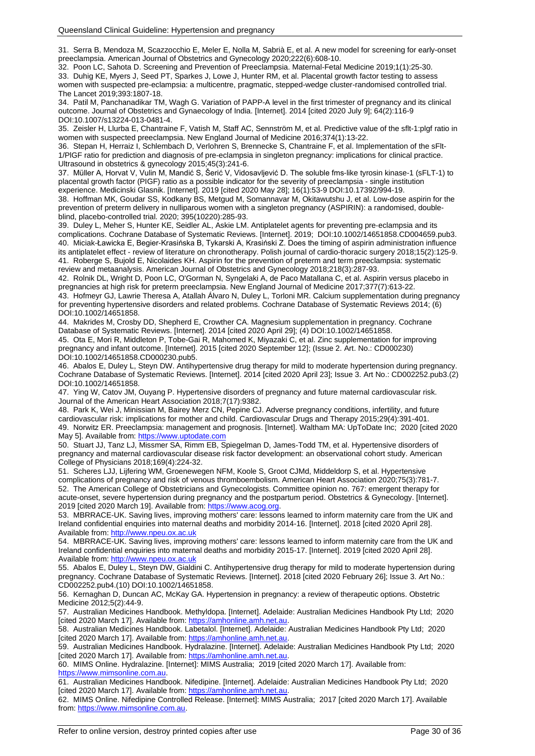31. Serra B, Mendoza M, Scazzocchio E, Meler E, Nolla M, Sabrià E, et al. A new model for screening for early-onset preeclampsia. American Journal of Obstetrics and Gynecology 2020;222(6):608-10.

32. Poon LC, Sahota D. Screening and Prevention of Preeclampsia. Maternal-Fetal Medicine 2019;1(1):25-30. 33. Duhig KE, Myers J, Seed PT, Sparkes J, Lowe J, Hunter RM, et al. Placental growth factor testing to assess women with suspected pre-eclampsia: a multicentre, pragmatic, stepped-wedge cluster-randomised controlled trial. The Lancet 2019;393:1807-18.

34. Patil M, Panchanadikar TM, Wagh G. Variation of PAPP-A level in the first trimester of pregnancy and its clinical outcome. Journal of Obstetrics and Gynaecology of India. [Internet]. 2014 [cited 2020 July 9]; 64(2):116-9 DOI:10.1007/s13224-013-0481-4.

35. Zeisler H, Llurba E, Chantraine F, Vatish M, Staff AC, Sennström M, et al. Predictive value of the sflt-1:plgf ratio in women with suspected preeclampsia. New England Journal of Medicine 2016;374(1):13-22.

36. Stepan H, Herraiz I, Schlembach D, Verlohren S, Brennecke S, Chantraine F, et al. Implementation of the sFlt-1/PlGF ratio for prediction and diagnosis of pre-eclampsia in singleton pregnancy: implications for clinical practice. Ultrasound in obstetrics & gynecology 2015;45(3):241-6.

37. Müller A, Horvat V, Vulin M, Mandić S, Šerić V, Vidosavljević D. The soluble fms-like tyrosin kinase-1 (sFLT-1) to placental growth factor (PIGF) ratio as a possible indicator for the severity of preeclampsia - single institution experience. Medicinski Glasnik. [Internet]. 2019 [cited 2020 May 28]; 16(1):53-9 DOI:10.17392/994-19.

38. Hoffman MK, Goudar SS, Kodkany BS, Metgud M, Somannavar M, Okitawutshu J, et al. Low-dose aspirin for the prevention of preterm delivery in nulliparous women with a singleton pregnancy (ASPIRIN): a randomised, doubleblind, placebo-controlled trial. 2020; 395(10220):285-93.

39. Duley L, Meher S, Hunter KE, Seidler AL, Askie LM. Antiplatelet agents for preventing pre‐eclampsia and its complications. Cochrane Database of Systematic Reviews. [Internet]. 2019; DOI:10.1002/14651858.CD004659.pub3. 40. Miciak-Ławicka E, Begier-Krasińska B, Tykarski A, Krasiński Z. Does the timing of aspirin administration influence its antiplatelet effect - review of literature on chronotherapy. Polish journal of cardio-thoracic surgery 2018;15(2):125-9. 41. Roberge S, Bujold E, Nicolaides KH. Aspirin for the prevention of preterm and term preeclampsia: systematic review and metaanalysis. American Journal of Obstetrics and Gynecology 2018;218(3):287-93.

42. Rolnik DL, Wright D, Poon LC, O'Gorman N, Syngelaki A, de Paco Matallana C, et al. Aspirin versus placebo in pregnancies at high risk for preterm preeclampsia. New England Journal of Medicine 2017;377(7):613-22.

43. Hofmeyr GJ, Lawrie Theresa A, Atallah Álvaro N, Duley L, Torloni MR. Calcium supplementation during pregnancy for preventing hypertensive disorders and related problems. Cochrane Database of Systematic Reviews 2014; (6) DOI:10.1002/14651858.

44. Makrides M, Crosby DD, Shepherd E, Crowther CA. Magnesium supplementation in pregnancy. Cochrane Database of Systematic Reviews. [Internet]. 2014 [cited 2020 April 29]; (4) DOI:10.1002/14651858.

45. Ota E, Mori R, Middleton P, Tobe-Gai R, Mahomed K, Miyazaki C, et al. Zinc supplementation for improving pregnancy and infant outcome. [Internet]. 2015 [cited 2020 September 12]; (Issue 2. Art. No.: CD000230) DOI:10.1002/14651858.CD000230.pub5.

46. Abalos E, Duley L, Steyn DW. Antihypertensive drug therapy for mild to moderate hypertension during pregnancy. Cochrane Database of Systematic Reviews. [Internet]. 2014 [cited 2020 April 23]; Issue 3. Art No.: CD002252.pub3.(2) DOI:10.1002/14651858.

47. Ying W, Catov JM, Ouyang P. Hypertensive disorders of pregnancy and future maternal cardiovascular risk. Journal of the American Heart Association 2018;7(17):9382.

48. Park K, Wei J, Minissian M, Bairey Merz CN, Pepine CJ. Adverse pregnancy conditions, infertility, and future cardiovascular risk: implications for mother and child. Cardiovascular Drugs and Therapy 2015;29(4):391-401. 49. Norwitz ER. Preeclampsia: management and prognosis. [Internet]. Waltham MA: UpToDate Inc; 2020 [cited 2020 May 5]. Available from[: https://www.uptodate.com](https://www.uptodate.com/)

50. Stuart JJ, Tanz LJ, Missmer SA, Rimm EB, Spiegelman D, James-Todd TM, et al. Hypertensive disorders of pregnancy and maternal cardiovascular disease risk factor development: an observational cohort study. American College of Physicians 2018;169(4):224-32.

51. Scheres LJJ, Lijfering WM, Groenewegen NFM, Koole S, Groot CJMd, Middeldorp S, et al. Hypertensive complications of pregnancy and risk of venous thromboembolism. American Heart Association 2020;75(3):781-7. 52. The American College of Obstetricians and Gynecologists. Committee opinion no. 767: emergent therapy for acute-onset, severe hypertension during pregnancy and the postpartum period. Obstetrics & Gynecology. [Internet]. 2019 [cited 2020 March 19]. Available from: [https://www.acog.org.](https://www.acog.org/)

53. MBRRACE-UK. Saving lives, improving mothers' care: lessons learned to inform maternity care from the UK and Ireland confidential enquiries into maternal deaths and morbidity 2014-16. [Internet]. 2018 [cited 2020 April 28]. Available from[: http://www.npeu.ox.ac.uk](http://www.npeu.ox.ac.uk/)

54. MBRRACE-UK. Saving lives, improving mothers' care: lessons learned to inform maternity care from the UK and Ireland confidential enquiries into maternal deaths and morbidity 2015-17. [Internet]. 2019 [cited 2020 April 28]. Available from[: http://www.npeu.ox.ac.uk](http://www.npeu.ox.ac.uk/)

55. Abalos E, Duley L, Steyn DW, Gialdini C. Antihypertensive drug therapy for mild to moderate hypertension during pregnancy. Cochrane Database of Systematic Reviews. [Internet]. 2018 [cited 2020 February 26]; Issue 3. Art No.: CD002252.pub4.(10) DOI:10.1002/14651858.

56. Kernaghan D, Duncan AC, McKay GA. Hypertension in pregnancy: a review of therapeutic options. Obstetric Medicine 2012;5(2):44-9.

57. Australian Medicines Handbook. Methyldopa. [Internet]. Adelaide: Australian Medicines Handbook Pty Ltd; 2020 [cited 2020 March 17]. Available from: [https://amhonline.amh.net.au.](https://amhonline.amh.net.au/)

58. Australian Medicines Handbook. Labetalol. [Internet]. Adelaide: Australian Medicines Handbook Pty Ltd; 2020 [cited 2020 March 17]. Available from: [https://amhonline.amh.net.au.](https://amhonline.amh.net.au/)

59. Australian Medicines Handbook. Hydralazine. [Internet]. Adelaide: Australian Medicines Handbook Pty Ltd; 2020 [cited 2020 March 17]. Available from: [https://amhonline.amh.net.au.](https://amhonline.amh.net.au/)

60. MIMS Online. Hydralazine. [Internet]: MIMS Australia; 2019 [cited 2020 March 17]. Available from: [https://www.mimsonline.com.au.](https://www.mimsonline.com.au/)

61. Australian Medicines Handbook. Nifedipine. [Internet]. Adelaide: Australian Medicines Handbook Pty Ltd; 2020 [cited 2020 March 17]. Available from: [https://amhonline.amh.net.au.](https://amhonline.amh.net.au/)

62. MIMS Online. Nifedipine Controlled Release. [Internet]: MIMS Australia; 2017 [cited 2020 March 17]. Available from[: https://www.mimsonline.com.au.](https://www.mimsonline.com.au/)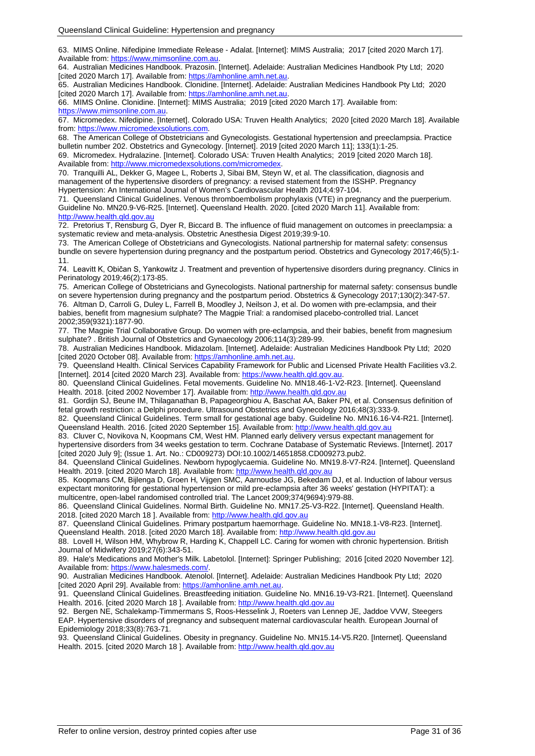63. MIMS Online. Nifedipine Immediate Release - Adalat. [Internet]: MIMS Australia; 2017 [cited 2020 March 17]. Available from[: https://www.mimsonline.com.au.](https://www.mimsonline.com.au/)

64. Australian Medicines Handbook. Prazosin. [Internet]. Adelaide: Australian Medicines Handbook Pty Ltd; 2020 [cited 2020 March 17]. Available from: [https://amhonline.amh.net.au.](https://amhonline.amh.net.au/)

65. Australian Medicines Handbook. Clonidine. [Internet]. Adelaide: Australian Medicines Handbook Pty Ltd; 2020 [cited 2020 March 17]. Available from: [https://amhonline.amh.net.au.](https://amhonline.amh.net.au/)

66. MIMS Online. Clonidine. [Internet]: MIMS Australia; 2019 [cited 2020 March 17]. Available from: [https://www.mimsonline.com.au.](https://www.mimsonline.com.au/)

67. Micromedex. Nifedipine. [Internet]. Colorado USA: Truven Health Analytics; 2020 [cited 2020 March 18]. Available from[: https://www.micromedexsolutions.com.](https://www.micromedexsolutions.com/)

68. The American College of Obstetricians and Gynecologists. Gestational hypertension and preeclampsia. Practice bulletin number 202. Obstetrics and Gynecology. [Internet]. 2019 [cited 2020 March 11]; 133(1):1-25. 69. Micromedex. Hydralazine. [Internet]. Colorado USA: Truven Health Analytics; 2019 [cited 2020 March 18].

Available from[: http://www.micromedexsolutions.com/micromedex.](http://www.micromedexsolutions.com/micromedex) 70. Tranquilli AL, Dekker G, Magee L, Roberts J, Sibai BM, Steyn W, et al. The classification, diagnosis and management of the hypertensive disorders of pregnancy: a revised statement from the ISSHP. Pregnancy Hypertension: An International Journal of Women's Cardiovascular Health 2014;4:97-104.

71. Queensland Clinical Guidelines. Venous thromboembolism prophylaxis (VTE) in pregnancy and the puerperium. Guideline No. MN20.9-V6-R25. [Internet]. Queensland Health. 2020. [cited 2020 March 11]. Available from: [http://www.health.qld.gov.au](http://www.health.qld.gov.au/)

72. Pretorius T, Rensburg G, Dyer R, Biccard B. The influence of fluid management on outcomes in preeclampsia: a systematic review and meta-analysis. Obstetric Anesthesia Digest 2019;39:9-10.

73. The American College of Obstetricians and Gynecologists. National partnership for maternal safety: consensus bundle on severe hypertension during pregnancy and the postpartum period. Obstetrics and Gynecology 2017;46(5):1- 11.

74. Leavitt K, Običan S, Yankowitz J. Treatment and prevention of hypertensive disorders during pregnancy. Clinics in Perinatology 2019;46(2):173-85.

75. American College of Obstetricians and Gynecologists. National partnership for maternal safety: consensus bundle on severe hypertension during pregnancy and the postpartum period. Obstetrics & Gynecology 2017;130(2):347-57. 76. Altman D, Carroli G, Duley L, Farrell B, Moodley J, Neilson J, et al. Do women with pre-eclampsia, and their babies, benefit from magnesium sulphate? The Magpie Trial: a randomised placebo-controlled trial. Lancet 2002;359(9321):1877-90.

77. The Magpie Trial Collaborative Group. Do women with pre-eclampsia, and their babies, benefit from magnesium sulphate? . British Journal of Obstetrics and Gynaecology 2006;114(3):289-99.

78. Australian Medicines Handbook. Midazolam. [Internet]. Adelaide: Australian Medicines Handbook Pty Ltd; 2020 [cited 2020 October 08]. Available from[: https://amhonline.amh.net.au.](https://amhonline.amh.net.au/)

79. Queensland Health. Clinical Services Capability Framework for Public and Licensed Private Health Facilities v3.2. [Internet]. 2014 [cited 2020 March 23]. Available from[: https://www.health.qld.gov.au.](https://www.health.qld.gov.au/)

80. Queensland Clinical Guidelines. Fetal movements. Guideline No. MN18.46-1-V2-R23. [Internet]. Queensland Health. 2018. [cited 2002 November 17]. Available from[: http://www.health.qld.gov.au](http://www.health.qld.gov.au/)

81. Gordijn SJ, Beune IM, Thilaganathan B, Papageorghiou A, Baschat AA, Baker PN, et al. Consensus definition of fetal growth restriction: a Delphi procedure. Ultrasound Obstetrics and Gynecology 2016;48(3):333-9.

82. Queensland Clinical Guidelines. Term small for gestational age baby. Guideline No. MN16.16-V4-R21. [Internet]. Queensland Health. 2016. [cited 2020 September 15]. Available from: [http://www.health.qld.gov.au](http://www.health.qld.gov.au/)

83. Cluver C, Novikova N, Koopmans CM, West HM. Planned early delivery versus expectant management for hypertensive disorders from 34 weeks gestation to term. Cochrane Database of Systematic Reviews. [Internet]. 2017 [cited 2020 July 9]; (Issue 1. Art. No.: CD009273) DOI:10.1002/14651858.CD009273.pub2.

84. Queensland Clinical Guidelines. Newborn hypoglycaemia. Guideline No. MN19.8-V7-R24. [Internet]. Queensland Health. 2019. [cited 2020 March 18]. Available from: [http://www.health.qld.gov.au](http://www.health.qld.gov.au/)

85. Koopmans CM, Bijlenga D, Groen H, Vijgen SMC, Aarnoudse JG, Bekedam DJ, et al. Induction of labour versus expectant monitoring for gestational hypertension or mild pre-eclampsia after 36 weeks' gestation (HYPITAT): a multicentre, open-label randomised controlled trial. The Lancet 2009;374(9694):979-88.

86. Queensland Clinical Guidelines. Normal Birth. Guideline No. MN17.25-V3-R22. [Internet]. Queensland Health. 2018. [cited 2020 March 18]. Available from: [http://www.health.qld.gov.au](http://www.health.qld.gov.au/)

87. Queensland Clinical Guidelines. Primary postpartum haemorrhage. Guideline No. MN18.1-V8-R23. [Internet]. Queensland Health. 2018. [cited 2020 March 18]. Available from: [http://www.health.qld.gov.au](http://www.health.qld.gov.au/)

88. Lovell H, Wilson HM, Whybrow R, Harding K, Chappell LC. Caring for women with chronic hypertension. British Journal of Midwifery 2019;27(6):343-51.

89. Hale's Medications and Mother's Milk. Labetolol. [Internet]: Springer Publishing; 2016 [cited 2020 November 12]. Available from[: https://www.halesmeds.com/.](https://www.halesmeds.com/)

90. Australian Medicines Handbook. Atenolol. [Internet]. Adelaide: Australian Medicines Handbook Pty Ltd; 2020 [cited 2020 April 29]. Available from[: https://amhonline.amh.net.au.](https://amhonline.amh.net.au/)

91. Queensland Clinical Guidelines. Breastfeeding initiation. Guideline No. MN16.19-V3-R21. [Internet]. Queensland Health. 2016. [cited 2020 March 18 ]. Available from: [http://www.health.qld.gov.au](http://www.health.qld.gov.au/)

92. Bergen NE, Schalekamp-Timmermans S, Roos-Hesselink J, Roeters van Lennep JE, Jaddoe VVW, Steegers EAP. Hypertensive disorders of pregnancy and subsequent maternal cardiovascular health. European Journal of Epidemiology 2018;33(8):763-71.

93. Queensland Clinical Guidelines. Obesity in pregnancy. Guideline No. MN15.14-V5.R20. [Internet]. Queensland Health. 2015. [cited 2020 March 18 ]. Available from: [http://www.health.qld.gov.au](http://www.health.qld.gov.au/)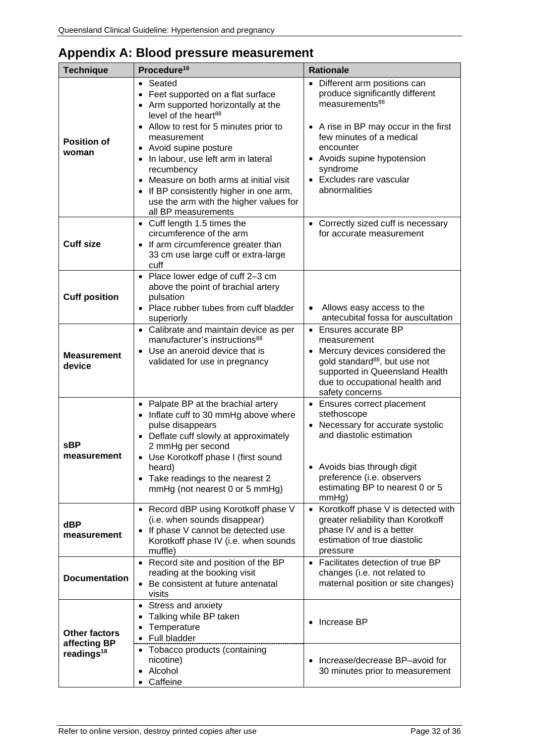<span id="page-31-0"></span>

| Appendix A: Blood pressure measurement |  |  |
|----------------------------------------|--|--|
|----------------------------------------|--|--|

| <b>Technique</b>                                               | Procedure <sup>16</sup>                                                                                                                                                                                                                                                                                                                                                                                                         | <b>Rationale</b>                                                                                                                                                                                                                                                         |
|----------------------------------------------------------------|---------------------------------------------------------------------------------------------------------------------------------------------------------------------------------------------------------------------------------------------------------------------------------------------------------------------------------------------------------------------------------------------------------------------------------|--------------------------------------------------------------------------------------------------------------------------------------------------------------------------------------------------------------------------------------------------------------------------|
| <b>Position of</b><br>woman                                    | Seated<br>$\bullet$<br>Feet supported on a flat surface<br>$\bullet$<br>• Arm supported horizontally at the<br>level of the heart <sup>88</sup><br>• Allow to rest for 5 minutes prior to<br>measurement<br>• Avoid supine posture<br>In labour, use left arm in lateral<br>recumbency<br>Measure on both arms at initial visit<br>$\bullet$<br>If BP consistently higher in one arm,<br>use the arm with the higher values for | • Different arm positions can<br>produce significantly different<br>measurements <sup>88</sup><br>• A rise in BP may occur in the first<br>few minutes of a medical<br>encounter<br>• Avoids supine hypotension<br>syndrome<br>• Excludes rare vascular<br>abnormalities |
| <b>Cuff size</b>                                               | all BP measurements<br>• Cuff length 1.5 times the<br>circumference of the arm<br>• If arm circumference greater than<br>33 cm use large cuff or extra-large<br>cuff                                                                                                                                                                                                                                                            | • Correctly sized cuff is necessary<br>for accurate measurement                                                                                                                                                                                                          |
| <b>Cuff position</b>                                           | • Place lower edge of cuff 2-3 cm<br>above the point of brachial artery<br>pulsation<br>• Place rubber tubes from cuff bladder<br>superiorly                                                                                                                                                                                                                                                                                    | Allows easy access to the<br>antecubital fossa for auscultation                                                                                                                                                                                                          |
| <b>Measurement</b><br>device                                   | • Calibrate and maintain device as per<br>manufacturer's instructions <sup>88</sup><br>• Use an aneroid device that is<br>validated for use in pregnancy                                                                                                                                                                                                                                                                        | • Ensures accurate BP<br>measurement<br>• Mercury devices considered the<br>gold standard <sup>88</sup> , but use not<br>supported in Queensland Health<br>due to occupational health and<br>safety concerns                                                             |
| <b>sBP</b><br>measurement                                      | • Palpate BP at the brachial artery<br>• Inflate cuff to 30 mmHg above where<br>pulse disappears<br>• Deflate cuff slowly at approximately<br>2 mmHg per second<br>• Use Korotkoff phase I (first sound<br>heard)<br>• Take readings to the nearest 2<br>mmHg (not nearest 0 or 5 mmHg)                                                                                                                                         | • Ensures correct placement<br>stethoscope<br>• Necessary for accurate systolic<br>and diastolic estimation<br>• Avoids bias through digit<br>preference (i.e. observers<br>estimating BP to nearest 0 or 5<br>mmHg)                                                     |
| dBP<br>measurement                                             | • Record dBP using Korotkoff phase V<br>(i.e. when sounds disappear)<br>If phase V cannot be detected use<br>Korotkoff phase IV (i.e. when sounds<br>muffle)                                                                                                                                                                                                                                                                    | Korotkoff phase V is detected with<br>$\bullet$<br>greater reliability than Korotkoff<br>phase IV and is a better<br>estimation of true diastolic<br>pressure                                                                                                            |
| <b>Documentation</b>                                           | Record site and position of the BP<br>$\bullet$<br>reading at the booking visit<br>Be consistent at future antenatal<br>visits                                                                                                                                                                                                                                                                                                  | • Facilitates detection of true BP<br>changes (i.e. not related to<br>maternal position or site changes)                                                                                                                                                                 |
| <b>Other factors</b><br>affecting BP<br>readings <sup>18</sup> | Stress and anxiety<br>$\bullet$<br>Talking while BP taken<br>Temperature<br>Full bladder<br>• Tobacco products (containing<br>nicotine)<br>Alcohol<br>Caffeine                                                                                                                                                                                                                                                                  | Increase BP<br>Increase/decrease BP-avoid for<br>30 minutes prior to measurement                                                                                                                                                                                         |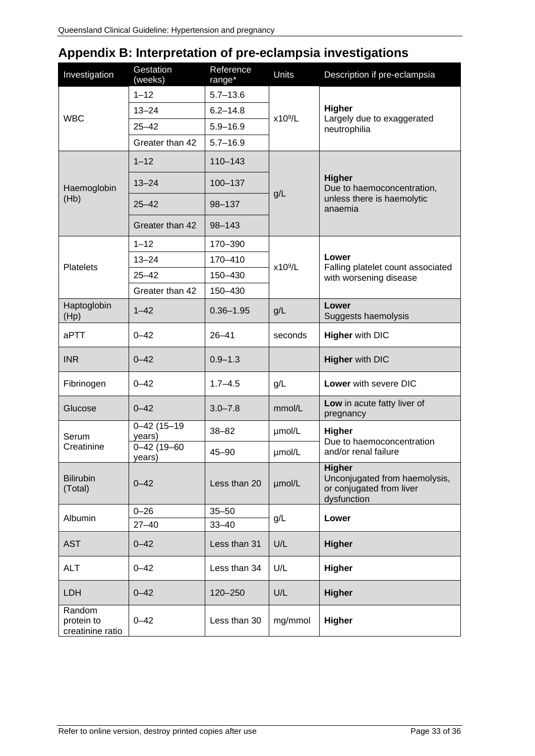# <span id="page-32-0"></span>**Appendix B: Interpretation of pre-eclampsia investigations**

| Investigation                            | Gestation<br>(weeks)        | Reference<br>range* | Units               | Description if pre-eclampsia                                                              |  |
|------------------------------------------|-----------------------------|---------------------|---------------------|-------------------------------------------------------------------------------------------|--|
| <b>WBC</b>                               | $1 - 12$                    | $5.7 - 13.6$        |                     |                                                                                           |  |
|                                          | $13 - 24$                   | $6.2 - 14.8$        | x10 <sup>9</sup> /L | Higher                                                                                    |  |
|                                          | $25 - 42$                   | $5.9 - 16.9$        |                     | Largely due to exaggerated<br>neutrophilia                                                |  |
|                                          | Greater than 42             | $5.7 - 16.9$        |                     |                                                                                           |  |
|                                          | $1 - 12$                    | $110 - 143$         |                     | <b>Higher</b><br>Due to haemoconcentration,<br>unless there is haemolytic<br>anaemia      |  |
| Haemoglobin                              | $13 - 24$                   | $100 - 137$         | g/L                 |                                                                                           |  |
| (Hb)                                     | $25 - 42$                   | 98-137              |                     |                                                                                           |  |
|                                          | Greater than 42             | 98-143              |                     |                                                                                           |  |
|                                          | $1 - 12$                    | 170-390             |                     |                                                                                           |  |
| <b>Platelets</b>                         | $13 - 24$                   | 170-410             | x10 <sup>9</sup> /L | Lower<br>Falling platelet count associated<br>with worsening disease                      |  |
|                                          | $25 - 42$                   | 150-430             |                     |                                                                                           |  |
|                                          | Greater than 42             | 150-430             |                     |                                                                                           |  |
| Haptoglobin<br>(Hp)                      | $1 - 42$                    | $0.36 - 1.95$       | g/L                 | Lower<br>Suggests haemolysis                                                              |  |
| aPTT                                     | $0 - 42$                    | $26 - 41$           | seconds             | <b>Higher with DIC</b>                                                                    |  |
| <b>INR</b>                               | $0 - 42$                    | $0.9 - 1.3$         |                     | <b>Higher with DIC</b>                                                                    |  |
| Fibrinogen                               | $0 - 42$                    | $1.7 - 4.5$         | g/L                 | Lower with severe DIC                                                                     |  |
| Glucose                                  | $0 - 42$                    | $3.0 - 7.8$         | mmol/L              | Low in acute fatty liver of<br>pregnancy                                                  |  |
| Serum                                    | $0 - 42(15 - 19)$<br>years) | $38 - 82$           | µmol/L              | Higher<br>Due to haemoconcentration                                                       |  |
| Creatinine                               | $0 - 42(19 - 60)$<br>years) | $45 - 90$           | µmol/L              | and/or renal failure                                                                      |  |
| <b>Bilirubin</b><br>(Total)              | $0 - 42$                    | Less than 20        | µmol/L              | <b>Higher</b><br>Unconjugated from haemolysis,<br>or conjugated from liver<br>dysfunction |  |
| Albumin                                  | $0 - 26$                    | $35 - 50$           | g/L                 | Lower                                                                                     |  |
|                                          | $27 - 40$                   | $33 - 40$           |                     |                                                                                           |  |
| <b>AST</b>                               | $0 - 42$                    | Less than 31        | U/L                 | <b>Higher</b>                                                                             |  |
| <b>ALT</b>                               | $0 - 42$                    | Less than 34        | U/L                 | <b>Higher</b>                                                                             |  |
| <b>LDH</b>                               | $0 - 42$                    | 120-250             | U/L                 | <b>Higher</b>                                                                             |  |
| Random<br>protein to<br>creatinine ratio | $0 - 42$                    | Less than 30        | mg/mmol             | <b>Higher</b>                                                                             |  |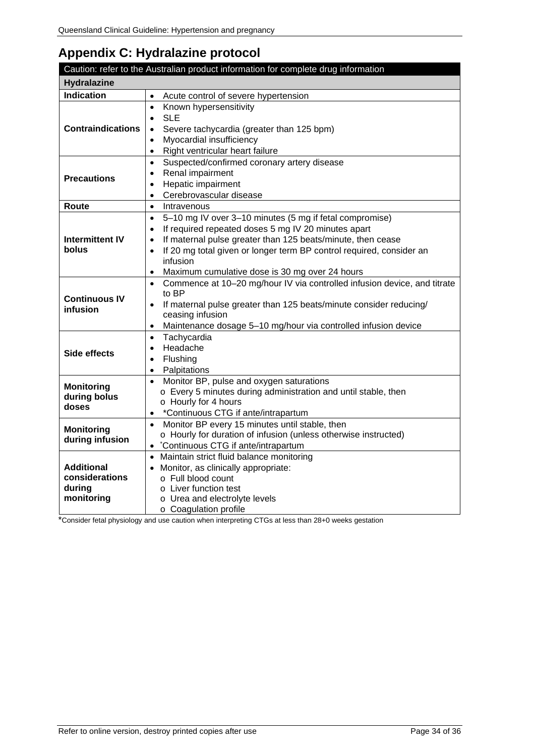# <span id="page-33-0"></span>**Appendix C: Hydralazine protocol**

|                                                             | Caution: refer to the Australian product information for complete drug information                                                                                                                                                                                                                                                                                                   |
|-------------------------------------------------------------|--------------------------------------------------------------------------------------------------------------------------------------------------------------------------------------------------------------------------------------------------------------------------------------------------------------------------------------------------------------------------------------|
| <b>Hydralazine</b>                                          |                                                                                                                                                                                                                                                                                                                                                                                      |
| <b>Indication</b>                                           | Acute control of severe hypertension<br>$\bullet$                                                                                                                                                                                                                                                                                                                                    |
| <b>Contraindications</b>                                    | Known hypersensitivity<br>$\bullet$<br><b>SLE</b><br>$\bullet$<br>Severe tachycardia (greater than 125 bpm)<br>$\bullet$<br>Myocardial insufficiency<br>$\bullet$<br>Right ventricular heart failure<br>$\bullet$                                                                                                                                                                    |
| <b>Precautions</b>                                          | Suspected/confirmed coronary artery disease<br>$\bullet$<br>Renal impairment<br>$\bullet$<br>Hepatic impairment<br>$\bullet$<br>Cerebrovascular disease<br>$\bullet$                                                                                                                                                                                                                 |
| Route                                                       | Intravenous<br>$\bullet$                                                                                                                                                                                                                                                                                                                                                             |
| <b>Intermittent IV</b><br>bolus                             | 5-10 mg IV over 3-10 minutes (5 mg if fetal compromise)<br>$\bullet$<br>If required repeated doses 5 mg IV 20 minutes apart<br>$\bullet$<br>If maternal pulse greater than 125 beats/minute, then cease<br>$\bullet$<br>If 20 mg total given or longer term BP control required, consider an<br>$\bullet$<br>infusion<br>Maximum cumulative dose is 30 mg over 24 hours<br>$\bullet$ |
| <b>Continuous IV</b><br>infusion                            | Commence at 10-20 mg/hour IV via controlled infusion device, and titrate<br>$\bullet$<br>to BP<br>If maternal pulse greater than 125 beats/minute consider reducing/<br>$\bullet$<br>ceasing infusion<br>Maintenance dosage 5-10 mg/hour via controlled infusion device<br>$\bullet$                                                                                                 |
| Side effects                                                | Tachycardia<br>$\bullet$<br>Headache<br>$\bullet$<br>Flushing<br>$\bullet$<br>Palpitations<br>$\bullet$                                                                                                                                                                                                                                                                              |
| <b>Monitoring</b><br>during bolus<br>doses                  | Monitor BP, pulse and oxygen saturations<br>$\bullet$<br>o Every 5 minutes during administration and until stable, then<br>o Hourly for 4 hours<br>*Continuous CTG if ante/intrapartum<br>$\bullet$                                                                                                                                                                                  |
| <b>Monitoring</b><br>during infusion                        | Monitor BP every 15 minutes until stable, then<br>$\bullet$<br>o Hourly for duration of infusion (unless otherwise instructed)<br>*Continuous CTG if ante/intrapartum<br>$\bullet$                                                                                                                                                                                                   |
| <b>Additional</b><br>considerations<br>during<br>monitoring | Maintain strict fluid balance monitoring<br>• Monitor, as clinically appropriate:<br>o Full blood count<br>o Liver function test<br>o Urea and electrolyte levels<br>o Coagulation profile                                                                                                                                                                                           |

\*Consider fetal physiology and use caution when interpreting CTGs at less than 28+0 weeks gestation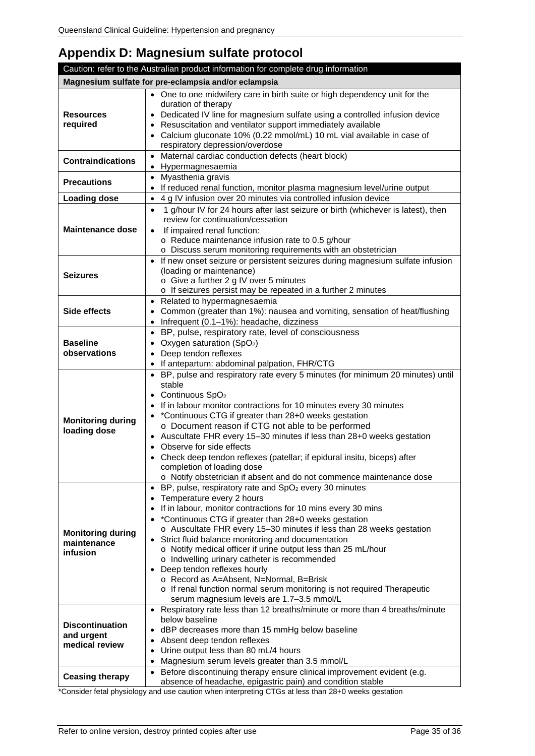# <span id="page-34-0"></span>**Appendix D: Magnesium sulfate protocol**

|                                          | Caution: refer to the Australian product information for complete drug information                          |
|------------------------------------------|-------------------------------------------------------------------------------------------------------------|
|                                          | Magnesium sulfate for pre-eclampsia and/or eclampsia                                                        |
|                                          | • One to one midwifery care in birth suite or high dependency unit for the                                  |
|                                          | duration of therapy                                                                                         |
| <b>Resources</b>                         | Dedicated IV line for magnesium sulfate using a controlled infusion device                                  |
| required                                 | Resuscitation and ventilator support immediately available                                                  |
|                                          | Calcium gluconate 10% (0.22 mmol/mL) 10 mL vial available in case of                                        |
|                                          | respiratory depression/overdose                                                                             |
| <b>Contraindications</b>                 | Maternal cardiac conduction defects (heart block)<br>$\bullet$<br>Hypermagnesaemia<br>$\bullet$             |
|                                          | Myasthenia gravis<br>$\bullet$                                                                              |
| <b>Precautions</b>                       | If reduced renal function, monitor plasma magnesium level/urine output<br>$\bullet$                         |
| <b>Loading dose</b>                      | 4 g IV infusion over 20 minutes via controlled infusion device<br>$\bullet$                                 |
|                                          | 1 g/hour IV for 24 hours after last seizure or birth (whichever is latest), then<br>$\bullet$               |
|                                          | review for continuation/cessation                                                                           |
| <b>Maintenance dose</b>                  | If impaired renal function:<br>$\bullet$                                                                    |
|                                          | o Reduce maintenance infusion rate to 0.5 g/hour                                                            |
|                                          | o Discuss serum monitoring requirements with an obstetrician                                                |
|                                          | If new onset seizure or persistent seizures during magnesium sulfate infusion<br>$\bullet$                  |
| <b>Seizures</b>                          | (loading or maintenance)                                                                                    |
|                                          | o Give a further 2 g IV over 5 minutes                                                                      |
|                                          | o If seizures persist may be repeated in a further 2 minutes                                                |
|                                          | Related to hypermagnesaemia<br>$\bullet$                                                                    |
| Side effects                             | Common (greater than 1%): nausea and vomiting, sensation of heat/flushing                                   |
|                                          | Infrequent (0.1-1%): headache, dizziness<br>$\bullet$                                                       |
| <b>Baseline</b>                          | • BP, pulse, respiratory rate, level of consciousness                                                       |
| observations                             | Oxygen saturation (SpO <sub>2</sub> )<br>$\bullet$<br>Deep tendon reflexes                                  |
|                                          | $\bullet$<br>If antepartum: abdominal palpation, FHR/CTG<br>٠                                               |
|                                          | BP, pulse and respiratory rate every 5 minutes (for minimum 20 minutes) until<br>$\bullet$                  |
|                                          | stable                                                                                                      |
|                                          | Continuous SpO <sub>2</sub>                                                                                 |
|                                          | If in labour monitor contractions for 10 minutes every 30 minutes                                           |
|                                          | *Continuous CTG if greater than 28+0 weeks gestation                                                        |
| <b>Monitoring during</b><br>loading dose | o Document reason if CTG not able to be performed                                                           |
|                                          | Auscultate FHR every 15-30 minutes if less than 28+0 weeks gestation                                        |
|                                          | Observe for side effects                                                                                    |
|                                          | Check deep tendon reflexes (patellar; if epidural insitu, biceps) after                                     |
|                                          | completion of loading dose                                                                                  |
|                                          | o Notify obstetrician if absent and do not commence maintenance dose                                        |
|                                          | BP, pulse, respiratory rate and SpO <sub>2</sub> every 30 minutes<br>$\bullet$<br>Temperature every 2 hours |
|                                          | ٠<br>If in labour, monitor contractions for 10 mins every 30 mins                                           |
|                                          | *Continuous CTG if greater than 28+0 weeks gestation                                                        |
|                                          | o Auscultate FHR every 15-30 minutes if less than 28 weeks gestation                                        |
| <b>Monitoring during</b>                 | Strict fluid balance monitoring and documentation                                                           |
| maintenance<br>infusion                  | o Notify medical officer if urine output less than 25 mL/hour                                               |
|                                          | o Indwelling urinary catheter is recommended                                                                |
|                                          | Deep tendon reflexes hourly                                                                                 |
|                                          | o Record as A=Absent, N=Normal, B=Brisk                                                                     |
|                                          | o If renal function normal serum monitoring is not required Therapeutic                                     |
|                                          | serum magnesium levels are 1.7-3.5 mmol/L                                                                   |
|                                          | • Respiratory rate less than 12 breaths/minute or more than 4 breaths/minute<br>below baseline              |
| <b>Discontinuation</b>                   | dBP decreases more than 15 mmHg below baseline<br>$\bullet$                                                 |
| and urgent                               | Absent deep tendon reflexes<br>$\bullet$                                                                    |
| medical review                           | Urine output less than 80 mL/4 hours<br>$\bullet$                                                           |
|                                          | Magnesium serum levels greater than 3.5 mmol/L<br>$\bullet$                                                 |
|                                          | Before discontinuing therapy ensure clinical improvement evident (e.g.<br>$\bullet$                         |
| <b>Ceasing therapy</b>                   | absence of headache, epigastric pain) and condition stable                                                  |
|                                          |                                                                                                             |

\*Consider fetal physiology and use caution when interpreting CTGs at less than 28+0 weeks gestation